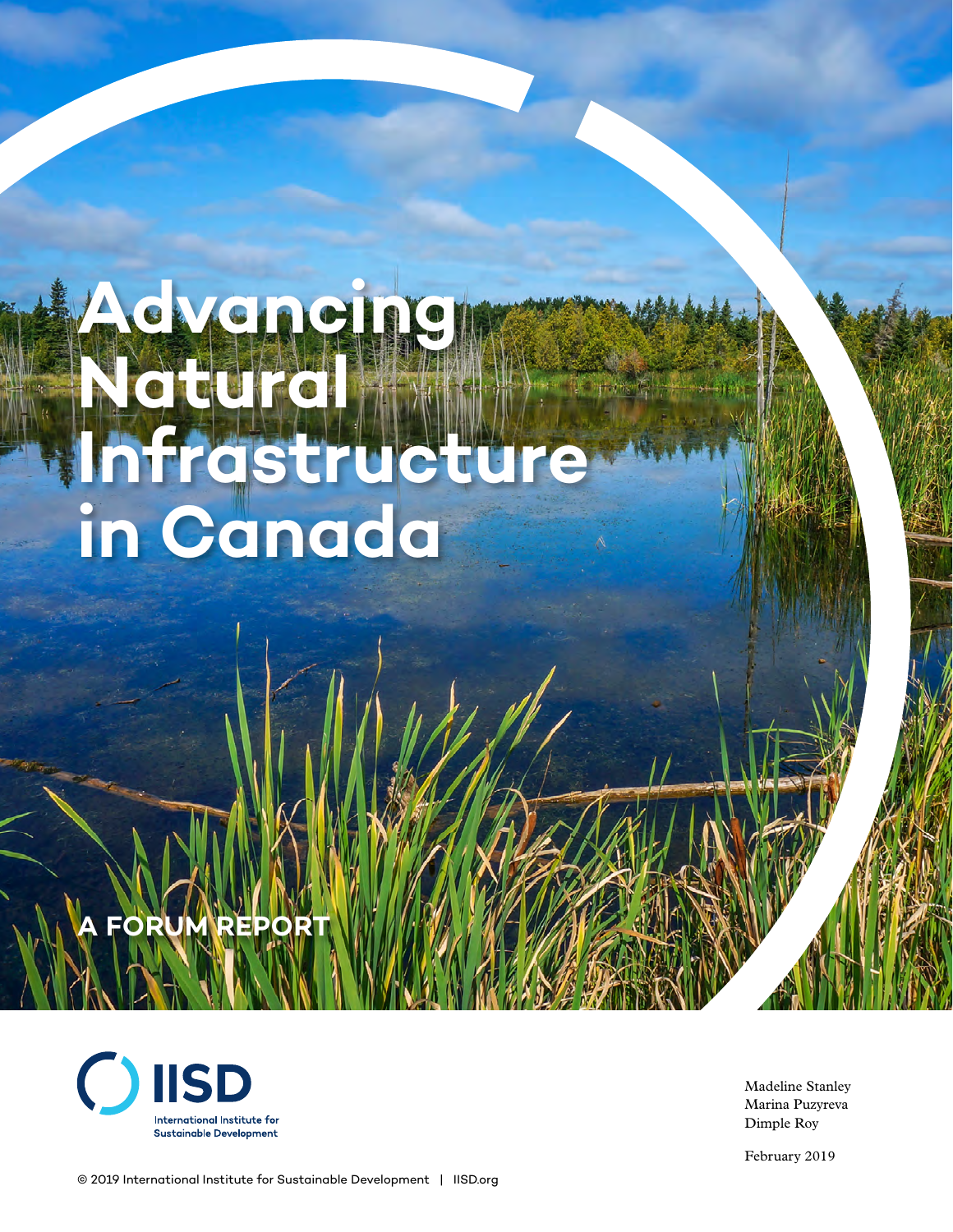# **Advancing Natural Infrastructure in Canada**

# **A REPOR**



Madeline Stanley Marina Puzyreva Dimple Roy

February 2019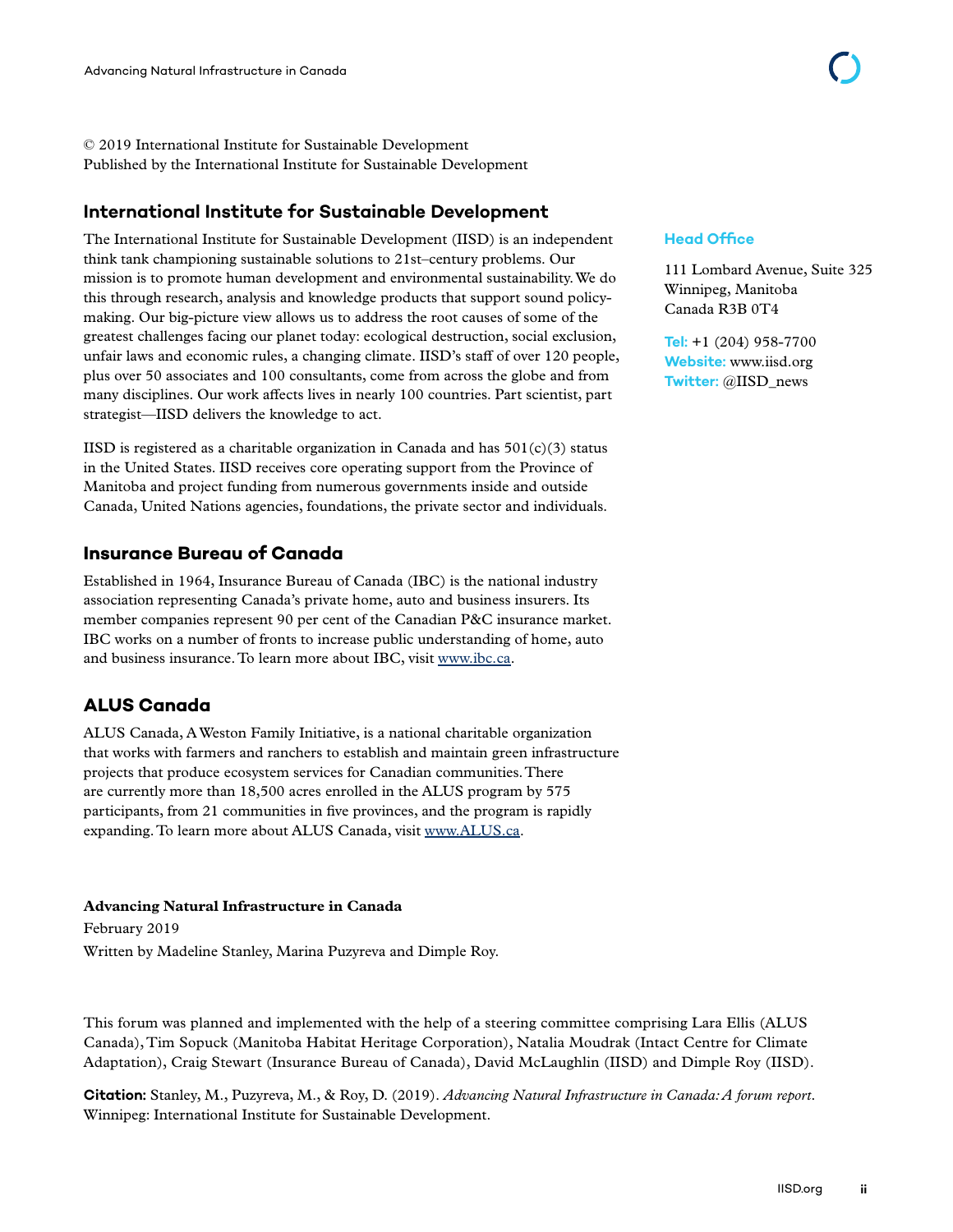© 2019 International Institute for Sustainable Development Published by the International Institute for Sustainable Development

#### **International Institute for Sustainable Development**

The International Institute for Sustainable Development (IISD) is an independent think tank championing sustainable solutions to 21st–century problems. Our mission is to promote human development and environmental sustainability. We do this through research, analysis and knowledge products that support sound policymaking. Our big-picture view allows us to address the root causes of some of the greatest challenges facing our planet today: ecological destruction, social exclusion, unfair laws and economic rules, a changing climate. IISD's staff of over 120 people, plus over 50 associates and 100 consultants, come from across the globe and from many disciplines. Our work affects lives in nearly 100 countries. Part scientist, part strategist—IISD delivers the knowledge to act.

IISD is registered as a charitable organization in Canada and has  $501(c)(3)$  status in the United States. IISD receives core operating support from the Province of Manitoba and project funding from numerous governments inside and outside Canada, United Nations agencies, foundations, the private sector and individuals.

#### **Insurance Bureau of Canada**

Established in 1964, Insurance Bureau of Canada (IBC) is the national industry association representing Canada's private home, auto and business insurers. Its member companies represent 90 per cent of the Canadian P&C insurance market. IBC works on a number of fronts to increase public understanding of home, auto and business insurance. To learn more about IBC, visit [www.ibc.ca](http://www.ibc.ca).

#### **ALUS Canada**

ALUS Canada, A Weston Family Initiative, is a national charitable organization that works with farmers and ranchers to establish and maintain green infrastructure projects that produce ecosystem services for Canadian communities. There are currently more than 18,500 acres enrolled in the ALUS program by 575 participants, from 21 communities in five provinces, and the program is rapidly expanding. To learn more about ALUS Canada, visit [www.ALUS.ca](http://www.ALUS.ca).

#### **Advancing Natural Infrastructure in Canada**

February 2019 Written by Madeline Stanley, Marina Puzyreva and Dimple Roy.

This forum was planned and implemented with the help of a steering committee comprising Lara Ellis (ALUS Canada), Tim Sopuck (Manitoba Habitat Heritage Corporation), Natalia Moudrak (Intact Centre for Climate Adaptation), Craig Stewart (Insurance Bureau of Canada), David McLaughlin (IISD) and Dimple Roy (IISD).

**Citation:** Stanley, M., Puzyreva, M., & Roy, D. (2019). *Advancing Natural Infrastructure in Canada: A forum report*. Winnipeg: International Institute for Sustainable Development.

#### **Head Office**

111 Lombard Avenue, Suite 325 Winnipeg, Manitoba Canada R3B 0T4

**Tel:** +1 (204) 958-7700 **Website:** <www.iisd.org> **Twitter:** @IISD\_news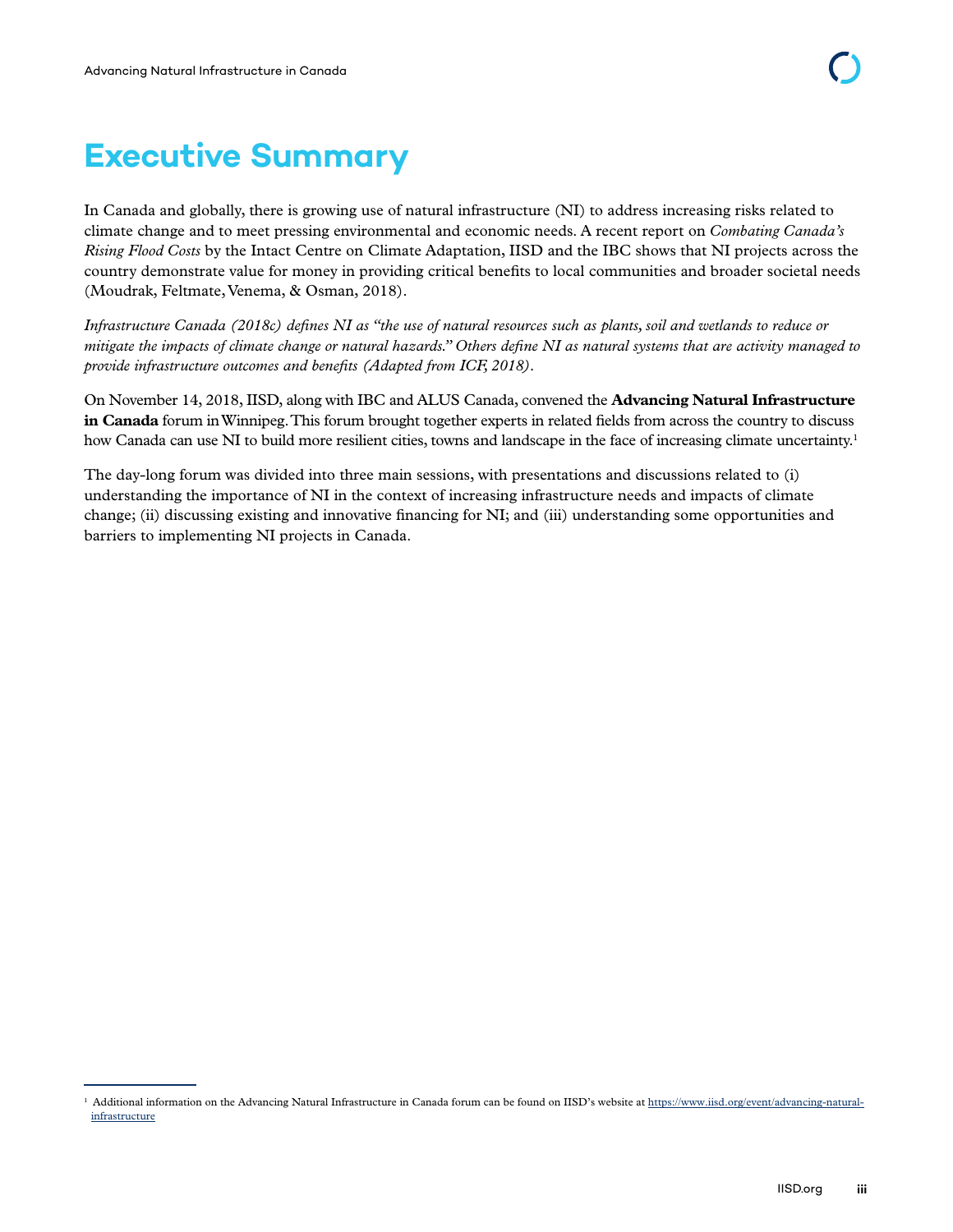# **Executive Summary**

In Canada and globally, there is growing use of natural infrastructure (NI) to address increasing risks related to climate change and to meet pressing environmental and economic needs. A recent report on *Combating Canada's Rising Flood Costs* by the Intact Centre on Climate Adaptation, IISD and the IBC shows that NI projects across the country demonstrate value for money in providing critical benefits to local communities and broader societal needs (Moudrak, Feltmate, Venema, & Osman, 2018).

*Infrastructure Canada (2018c) defines NI as "the use of natural resources such as plants, soil and wetlands to reduce or mitigate the impacts of climate change or natural hazards." Others define NI as natural systems that are activity managed to provide infrastructure outcomes and benefits (Adapted from ICF, 2018).* 

On November 14, 2018, IISD, along with IBC and ALUS Canada, convened the **Advancing Natural Infrastructure in Canada** forum in Winnipeg. This forum brought together experts in related fields from across the country to discuss how Canada can use NI to build more resilient cities, towns and landscape in the face of increasing climate uncertainty.<sup>1</sup>

The day-long forum was divided into three main sessions, with presentations and discussions related to (i) understanding the importance of NI in the context of increasing infrastructure needs and impacts of climate change; (ii) discussing existing and innovative financing for NI; and (iii) understanding some opportunities and barriers to implementing NI projects in Canada.

<sup>&</sup>lt;sup>1</sup> Additional information on the Advancing Natural Infrastructure in Canada forum can be found on IISD's website at [https://www.iisd.org/event/advancing-natural](https://www.iisd.org/event/advancing-natural-infrastructure)[infrastructure](https://www.iisd.org/event/advancing-natural-infrastructure)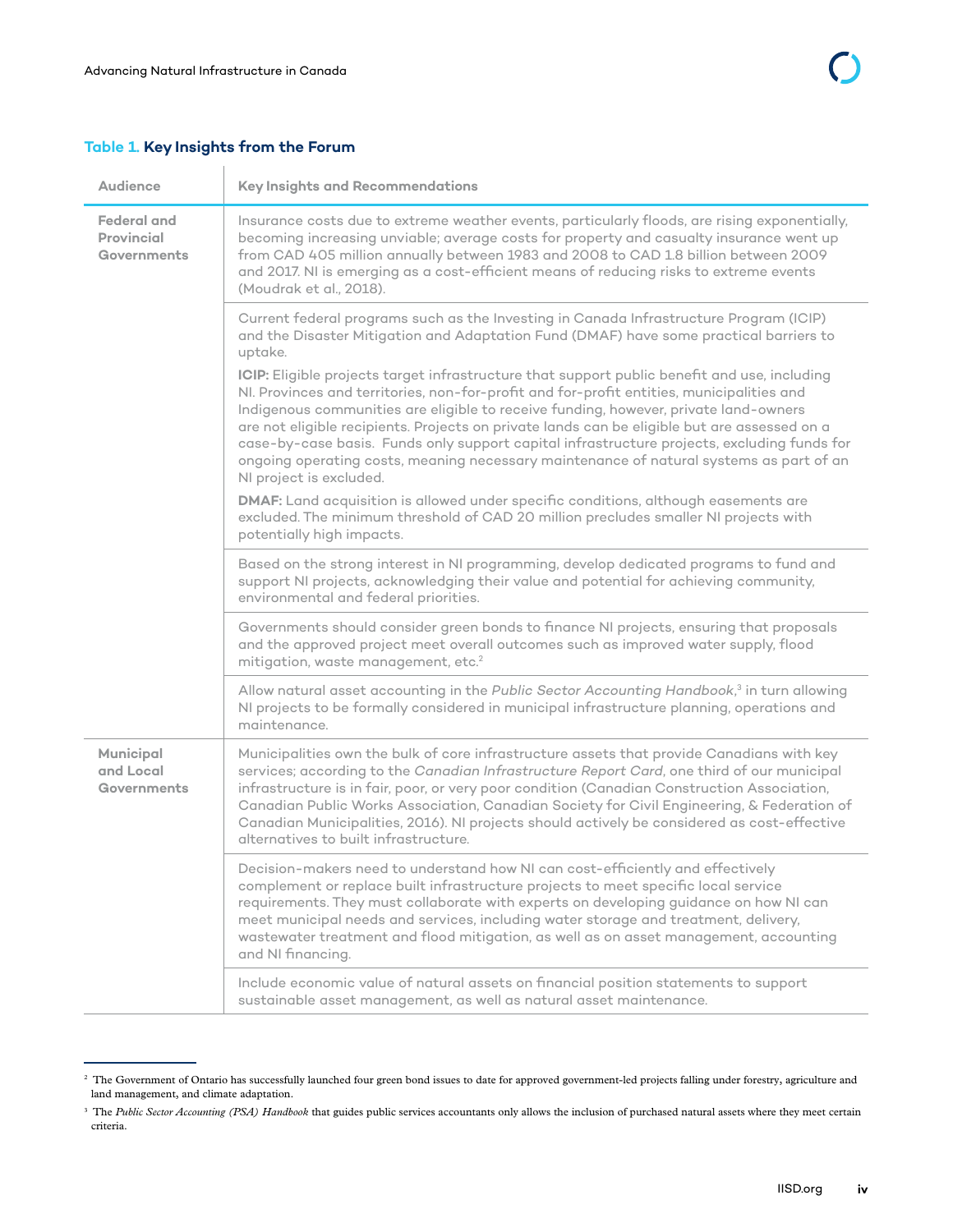#### **Table 1. Key Insights from the Forum** Ŷ.

| <b>Audience</b>                                        | <b>Key Insights and Recommendations</b>                                                                                                                                                                                                                                                                                                                                                                                                                                                                                                                                                                |
|--------------------------------------------------------|--------------------------------------------------------------------------------------------------------------------------------------------------------------------------------------------------------------------------------------------------------------------------------------------------------------------------------------------------------------------------------------------------------------------------------------------------------------------------------------------------------------------------------------------------------------------------------------------------------|
| <b>Federal and</b><br><b>Provincial</b><br>Governments | Insurance costs due to extreme weather events, particularly floods, are rising exponentially,<br>becoming increasing unviable; average costs for property and casualty insurance went up<br>from CAD 405 million annually between 1983 and 2008 to CAD 1.8 billion between 2009<br>and 2017. NI is emerging as a cost-efficient means of reducing risks to extreme events<br>(Moudrak et al., 2018).                                                                                                                                                                                                   |
|                                                        | Current federal programs such as the Investing in Canada Infrastructure Program (ICIP)<br>and the Disaster Mitigation and Adaptation Fund (DMAF) have some practical barriers to<br>uptake.                                                                                                                                                                                                                                                                                                                                                                                                            |
|                                                        | ICIP: Eligible projects target infrastructure that support public benefit and use, including<br>NI. Provinces and territories, non-for-profit and for-profit entities, municipalities and<br>Indigenous communities are eligible to receive funding, however, private land-owners<br>are not eligible recipients. Projects on private lands can be eligible but are assessed on a<br>case-by-case basis. Funds only support capital infrastructure projects, excluding funds for<br>ongoing operating costs, meaning necessary maintenance of natural systems as part of an<br>NI project is excluded. |
|                                                        | DMAF: Land acquisition is allowed under specific conditions, although easements are<br>excluded. The minimum threshold of CAD 20 million precludes smaller NI projects with<br>potentially high impacts.                                                                                                                                                                                                                                                                                                                                                                                               |
|                                                        | Based on the strong interest in NI programming, develop dedicated programs to fund and<br>support NI projects, acknowledging their value and potential for achieving community,<br>environmental and federal priorities.                                                                                                                                                                                                                                                                                                                                                                               |
|                                                        | Governments should consider green bonds to finance NI projects, ensuring that proposals<br>and the approved project meet overall outcomes such as improved water supply, flood<br>mitigation, waste management, etc. <sup>2</sup>                                                                                                                                                                                                                                                                                                                                                                      |
|                                                        | Allow natural asset accounting in the Public Sector Accounting Handbook, <sup>3</sup> in turn allowing<br>NI projects to be formally considered in municipal infrastructure planning, operations and<br>maintenance.                                                                                                                                                                                                                                                                                                                                                                                   |
| Municipal<br>and Local<br>Governments                  | Municipalities own the bulk of core infrastructure assets that provide Canadians with key<br>services; according to the Canadian Infrastructure Report Card, one third of our municipal<br>infrastructure is in fair, poor, or very poor condition (Canadian Construction Association,<br>Canadian Public Works Association, Canadian Society for Civil Engineering, & Federation of<br>Canadian Municipalities, 2016). NI projects should actively be considered as cost-effective<br>alternatives to built infrastructure.                                                                           |
|                                                        | Decision-makers need to understand how NI can cost-efficiently and effectively<br>complement or replace built infrastructure projects to meet specific local service<br>requirements. They must collaborate with experts on developing guidance on how NI can<br>meet municipal needs and services, including water storage and treatment, delivery,<br>wastewater treatment and flood mitigation, as well as on asset management, accounting<br>and NI financing.                                                                                                                                     |
|                                                        | Include economic value of natural assets on financial position statements to support<br>sustainable asset management, as well as natural asset maintenance.                                                                                                                                                                                                                                                                                                                                                                                                                                            |

<sup>&</sup>lt;sup>2</sup> The Government of Ontario has successfully launched four green bond issues to date for approved government-led projects falling under forestry, agriculture and land management, and climate adaptation.

<sup>&</sup>lt;sup>3</sup> The Public Sector Accounting (PSA) Handbook that guides public services accountants only allows the inclusion of purchased natural assets where they meet certain criteria.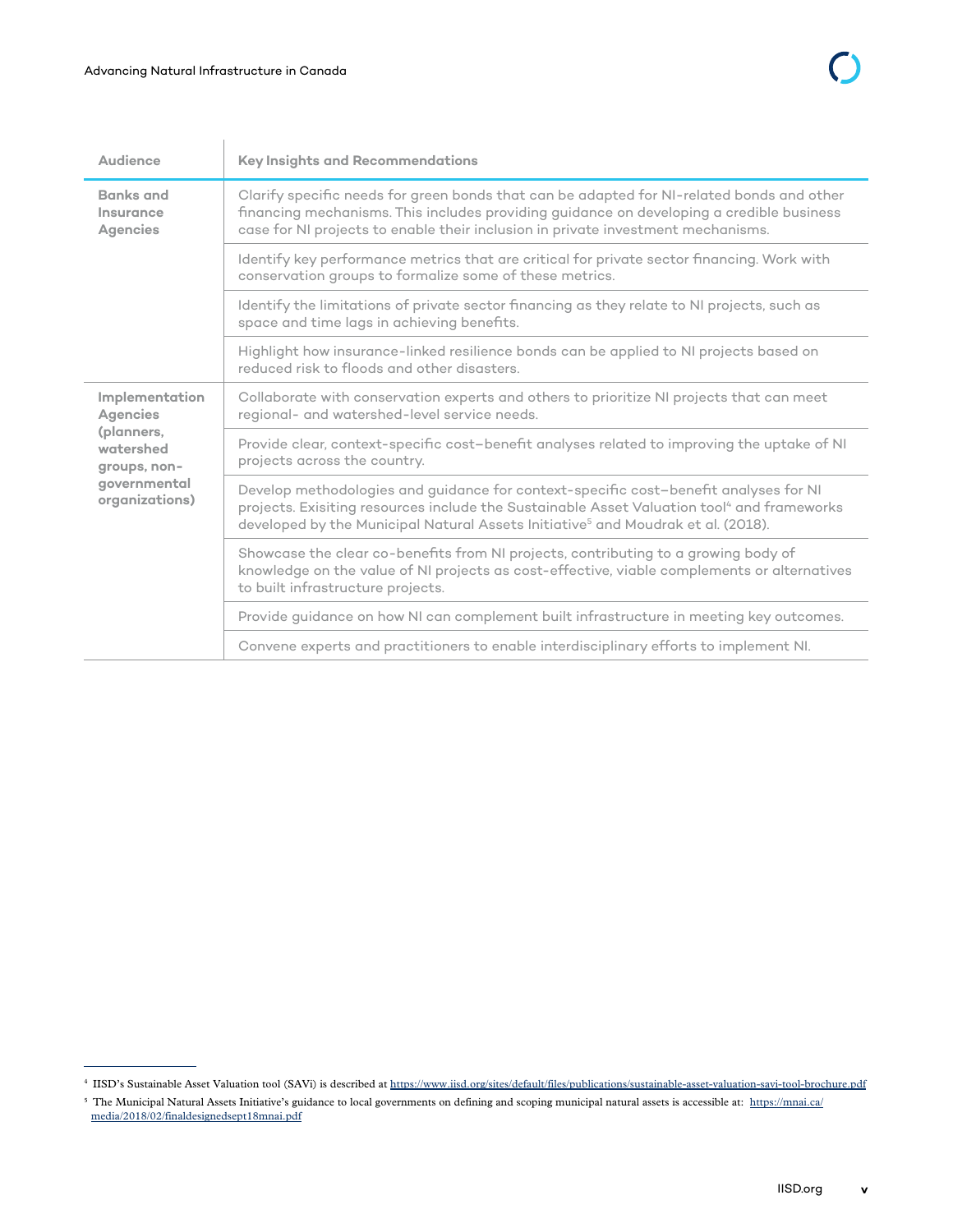| Audience                                                                                                       | <b>Key Insights and Recommendations</b>                                                                                                                                                                                                                                                        |
|----------------------------------------------------------------------------------------------------------------|------------------------------------------------------------------------------------------------------------------------------------------------------------------------------------------------------------------------------------------------------------------------------------------------|
| <b>Banks and</b><br>Insurance<br><b>Agencies</b>                                                               | Clarify specific needs for green bonds that can be adapted for NI-related bonds and other<br>financing mechanisms. This includes providing guidance on developing a credible business<br>case for NI projects to enable their inclusion in private investment mechanisms.                      |
|                                                                                                                | Identify key performance metrics that are critical for private sector financing. Work with<br>conservation groups to formalize some of these metrics.                                                                                                                                          |
|                                                                                                                | Identify the limitations of private sector financing as they relate to NI projects, such as<br>space and time lags in achieving benefits.                                                                                                                                                      |
|                                                                                                                | Highlight how insurance-linked resilience bonds can be applied to NI projects based on<br>reduced risk to floods and other disasters.                                                                                                                                                          |
| Implementation<br><b>Agencies</b><br>(planners,<br>watershed<br>groups, non-<br>governmental<br>organizations) | Collaborate with conservation experts and others to prioritize NI projects that can meet<br>regional- and watershed-level service needs.                                                                                                                                                       |
|                                                                                                                | Provide clear, context-specific cost-benefit analyses related to improving the uptake of NI<br>projects across the country.                                                                                                                                                                    |
|                                                                                                                | Develop methodologies and guidance for context-specific cost-benefit analyses for NI<br>projects. Exisiting resources include the Sustainable Asset Valuation tool <sup>4</sup> and frameworks<br>developed by the Municipal Natural Assets Initiative <sup>5</sup> and Moudrak et al. (2018). |
|                                                                                                                | Showcase the clear co-benefits from NI projects, contributing to a growing body of<br>knowledge on the value of NI projects as cost-effective, viable complements or alternatives<br>to built infrastructure projects.                                                                         |
|                                                                                                                | Provide guidance on how NI can complement built infrastructure in meeting key outcomes.                                                                                                                                                                                                        |
|                                                                                                                | Convene experts and practitioners to enable interdisciplinary efforts to implement NI.                                                                                                                                                                                                         |

<sup>4</sup> IISD's Sustainable Asset Valuation tool (SAVi) is described at <https://www.iisd.org/sites/default/files/publications/sustainable-asset-valuation-savi-tool-brochure.pdf>

<sup>&</sup>lt;sup>5</sup> The Municipal Natural Assets Initiative's guidance to local governments on defining and scoping municipal natural assets is accessible at: [https://mnai.ca/](https://mnai.ca/media/2018/02/finaldesignedsept18mnai.pdf) [media/2018/02/finaldesignedsept18mnai.pdf](https://mnai.ca/media/2018/02/finaldesignedsept18mnai.pdf)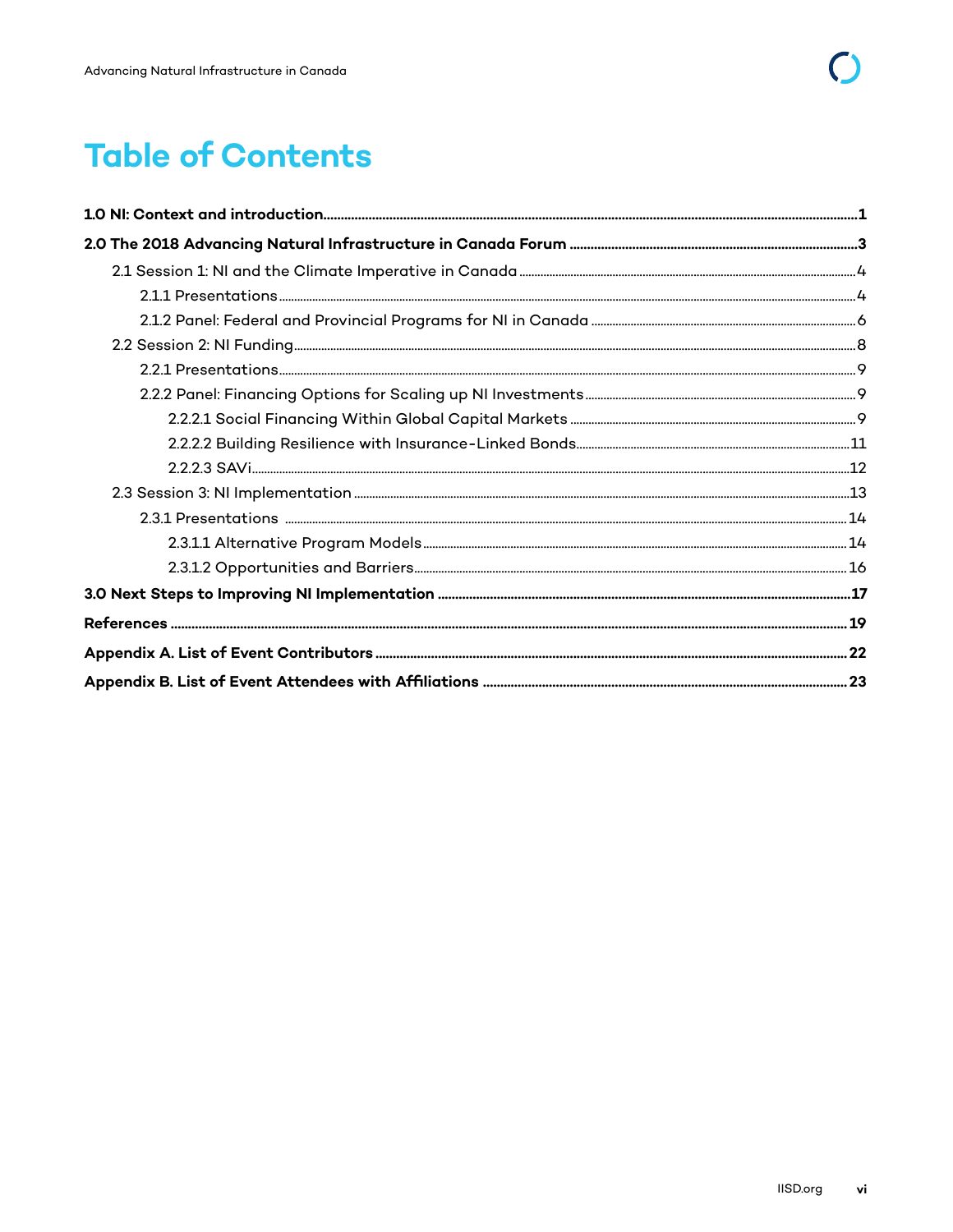# **Table of Contents**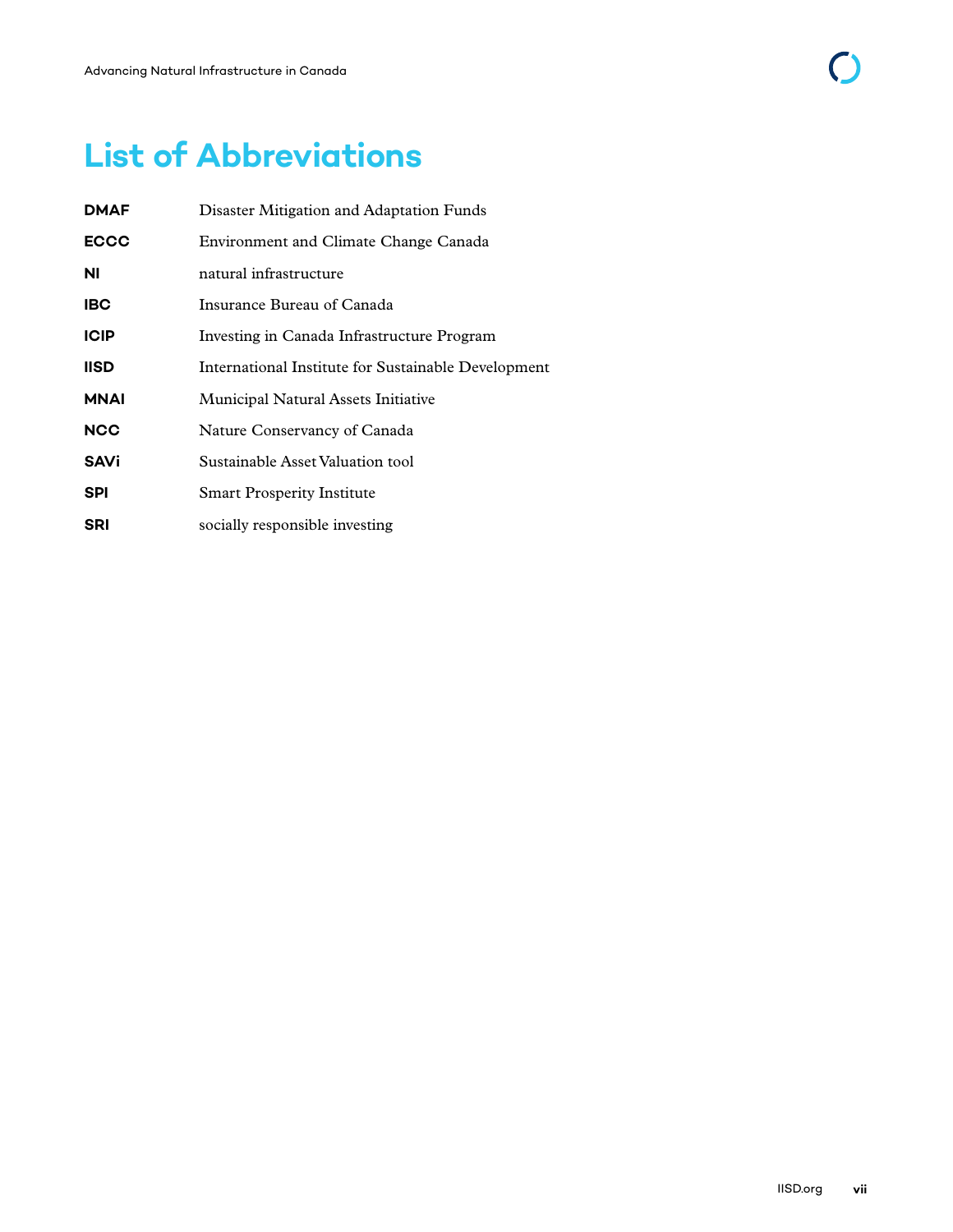| <b>DMAF</b> | Disaster Mitigation and Adaptation Funds            |
|-------------|-----------------------------------------------------|
| <b>ECCC</b> | Environment and Climate Change Canada               |
| ΝI          | natural infrastructure                              |
| <b>IBC</b>  | Insurance Bureau of Canada                          |
| <b>ICIP</b> | Investing in Canada Infrastructure Program          |
| <b>IISD</b> | International Institute for Sustainable Development |
| <b>MNAI</b> | Municipal Natural Assets Initiative                 |
| <b>NCC</b>  | Nature Conservancy of Canada                        |
| <b>SAVi</b> | Sustainable Asset Valuation tool                    |
| <b>SPI</b>  | <b>Smart Prosperity Institute</b>                   |
| <b>SRI</b>  | socially responsible investing                      |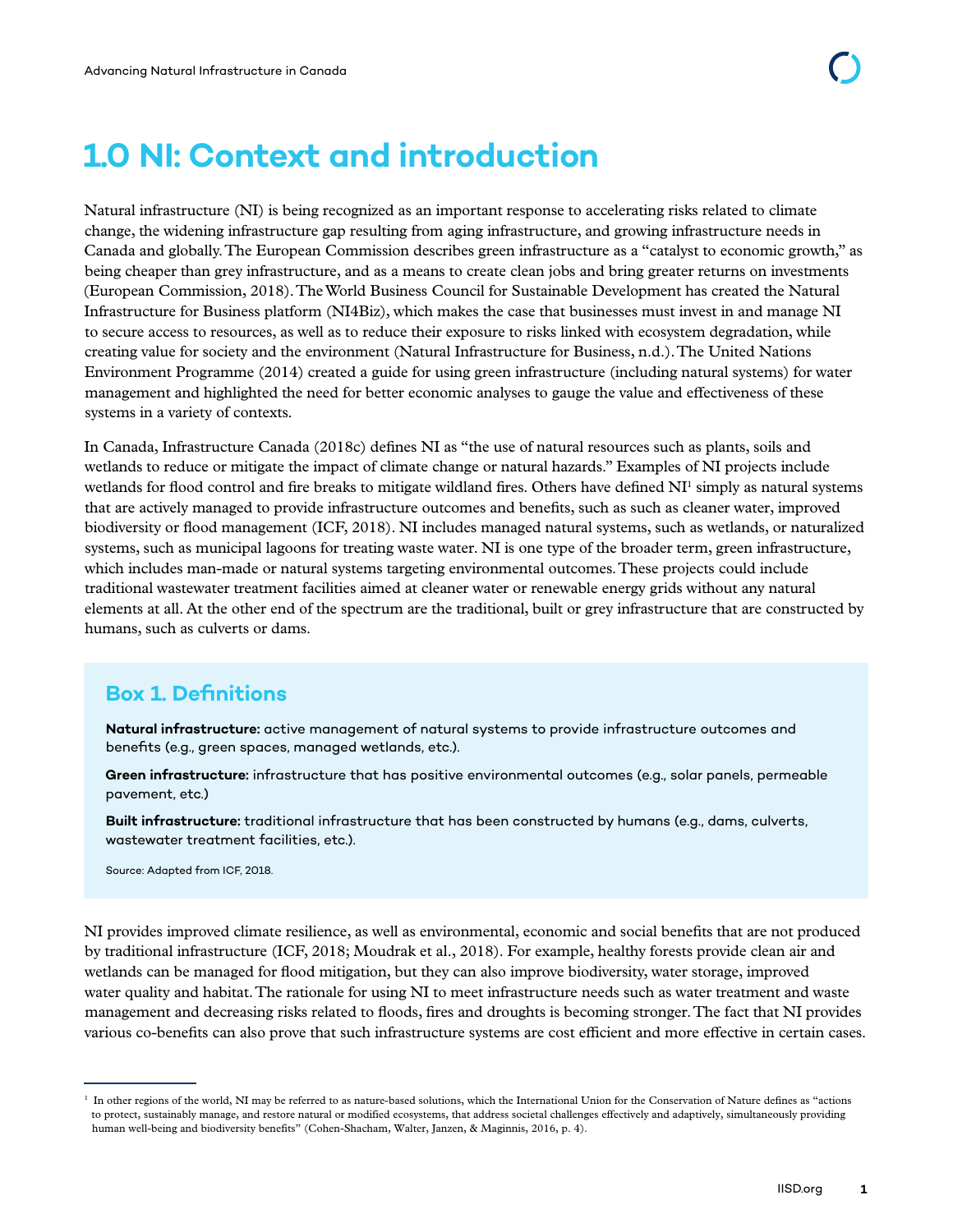# <span id="page-7-0"></span>**1.0 NI: Context and introduction**

Natural infrastructure (NI) is being recognized as an important response to accelerating risks related to climate change, the widening infrastructure gap resulting from aging infrastructure, and growing infrastructure needs in Canada and globally. The European Commission describes green infrastructure as a "catalyst to economic growth," as being cheaper than grey infrastructure, and as a means to create clean jobs and bring greater returns on investments (European Commission, 2018). The World Business Council for Sustainable Development has created the Natural Infrastructure for Business platform (NI4Biz), which makes the case that businesses must invest in and manage NI to secure access to resources, as well as to reduce their exposure to risks linked with ecosystem degradation, while creating value for society and the environment (Natural Infrastructure for Business, n.d.). The United Nations Environment Programme (2014) created a guide for using green infrastructure (including natural systems) for water management and highlighted the need for better economic analyses to gauge the value and effectiveness of these systems in a variety of contexts.

In Canada, Infrastructure Canada (2018c) defines NI as "the use of natural resources such as plants, soils and wetlands to reduce or mitigate the impact of climate change or natural hazards." Examples of NI projects include wetlands for flood control and fire breaks to mitigate wildland fires. Others have defined NI<sup>1</sup> simply as natural systems that are actively managed to provide infrastructure outcomes and benefits, such as such as cleaner water, improved biodiversity or flood management (ICF, 2018). NI includes managed natural systems, such as wetlands, or naturalized systems, such as municipal lagoons for treating waste water. NI is one type of the broader term, green infrastructure, which includes man-made or natural systems targeting environmental outcomes. These projects could include traditional wastewater treatment facilities aimed at cleaner water or renewable energy grids without any natural elements at all. At the other end of the spectrum are the traditional, built or grey infrastructure that are constructed by humans, such as culverts or dams.

# **Box 1. Definitions**

**Natural infrastructure:** active management of natural systems to provide infrastructure outcomes and benefits (e.g., green spaces, managed wetlands, etc.).

**Green infrastructure:** infrastructure that has positive environmental outcomes (e.g., solar panels, permeable pavement, etc.)

**Built infrastructure:** traditional infrastructure that has been constructed by humans (e.g., dams, culverts, wastewater treatment facilities, etc.).

Source: Adapted from ICF, 2018.

NI provides improved climate resilience, as well as environmental, economic and social benefits that are not produced by traditional infrastructure (ICF, 2018; Moudrak et al., 2018). For example, healthy forests provide clean air and wetlands can be managed for flood mitigation, but they can also improve biodiversity, water storage, improved water quality and habitat. The rationale for using NI to meet infrastructure needs such as water treatment and waste management and decreasing risks related to floods, fires and droughts is becoming stronger. The fact that NI provides various co-benefits can also prove that such infrastructure systems are cost efficient and more effective in certain cases.

<sup>&</sup>lt;sup>1</sup> In other regions of the world, NI may be referred to as nature-based solutions, which the International Union for the Conservation of Nature defines as "actions to protect, sustainably manage, and restore natural or modified ecosystems, that address societal challenges effectively and adaptively, simultaneously providing human well-being and biodiversity benefits" (Cohen-Shacham, Walter, Janzen, & Maginnis, 2016, p. 4).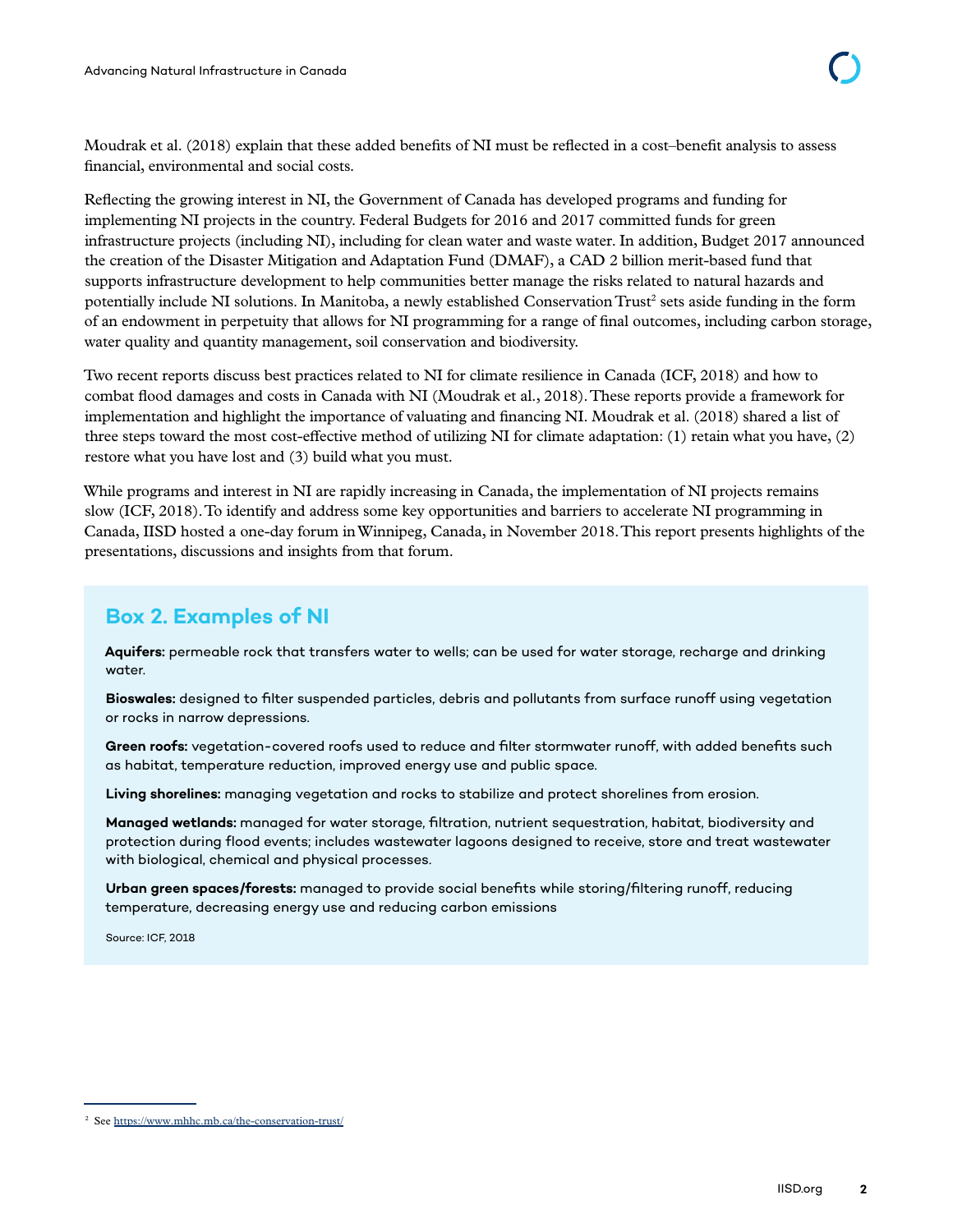Moudrak et al. (2018) explain that these added benefits of NI must be reflected in a cost–benefit analysis to assess financial, environmental and social costs.

Reflecting the growing interest in NI, the Government of Canada has developed programs and funding for implementing NI projects in the country. Federal Budgets for 2016 and 2017 committed funds for green infrastructure projects (including NI), including for clean water and waste water. In addition, Budget 2017 announced the creation of the Disaster Mitigation and Adaptation Fund (DMAF), a CAD 2 billion merit-based fund that supports infrastructure development to help communities better manage the risks related to natural hazards and potentially include NI solutions. In Manitoba, a newly established Conservation Trust<sup>2</sup> sets aside funding in the form of an endowment in perpetuity that allows for NI programming for a range of final outcomes, including carbon storage, water quality and quantity management, soil conservation and biodiversity.

Two recent reports discuss best practices related to NI for climate resilience in Canada (ICF, 2018) and how to combat flood damages and costs in Canada with NI (Moudrak et al., 2018). These reports provide a framework for implementation and highlight the importance of valuating and financing NI. Moudrak et al. (2018) shared a list of three steps toward the most cost-effective method of utilizing NI for climate adaptation: (1) retain what you have, (2) restore what you have lost and (3) build what you must.

While programs and interest in NI are rapidly increasing in Canada, the implementation of NI projects remains slow (ICF, 2018). To identify and address some key opportunities and barriers to accelerate NI programming in Canada, IISD hosted a one-day forum in Winnipeg, Canada, in November 2018. This report presents highlights of the presentations, discussions and insights from that forum.

# **Box 2. Examples of NI**

**Aquifers:** permeable rock that transfers water to wells; can be used for water storage, recharge and drinking water.

**Bioswales:** designed to filter suspended particles, debris and pollutants from surface runoff using vegetation or rocks in narrow depressions.

**Green roofs:** vegetation-covered roofs used to reduce and filter stormwater runoff, with added benefits such as habitat, temperature reduction, improved energy use and public space.

**Living shorelines:** managing vegetation and rocks to stabilize and protect shorelines from erosion.

**Managed wetlands:** managed for water storage, filtration, nutrient sequestration, habitat, biodiversity and protection during flood events; includes wastewater lagoons designed to receive, store and treat wastewater with biological, chemical and physical processes.

**Urban green spaces/forests:** managed to provide social benefits while storing/filtering runoff, reducing temperature, decreasing energy use and reducing carbon emissions

Source: ICF, 2018

<sup>2</sup> See<https://www.mhhc.mb.ca/the-conservation-trust/>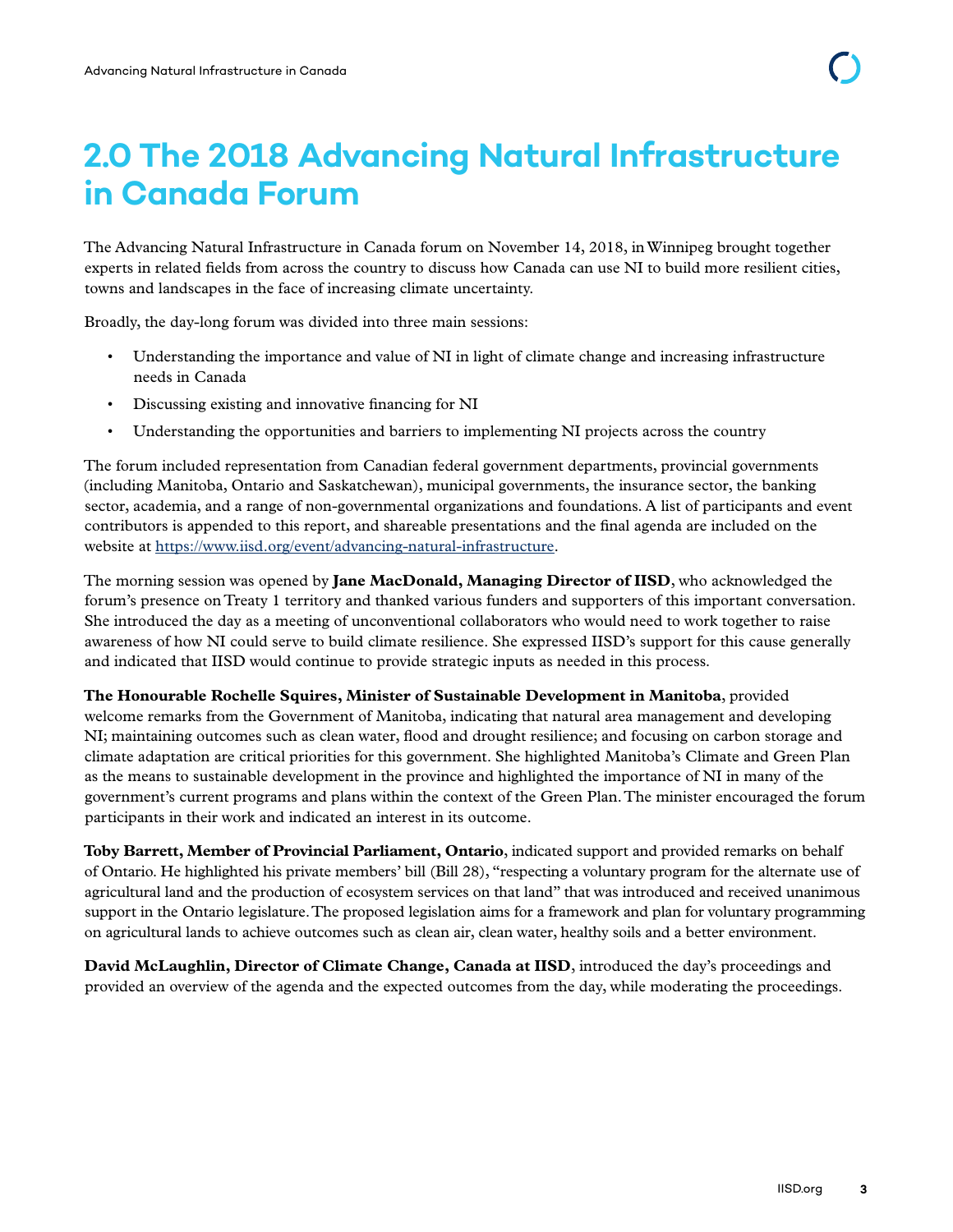# <span id="page-9-0"></span>**2.0 The 2018 Advancing Natural Infrastructure in Canada Forum**

The Advancing Natural Infrastructure in Canada forum on November 14, 2018, in Winnipeg brought together experts in related fields from across the country to discuss how Canada can use NI to build more resilient cities, towns and landscapes in the face of increasing climate uncertainty.

Broadly, the day-long forum was divided into three main sessions:

- Understanding the importance and value of NI in light of climate change and increasing infrastructure needs in Canada
- Discussing existing and innovative financing for NI
- Understanding the opportunities and barriers to implementing NI projects across the country

The forum included representation from Canadian federal government departments, provincial governments (including Manitoba, Ontario and Saskatchewan), municipal governments, the insurance sector, the banking sector, academia, and a range of non-governmental organizations and foundations. A list of participants and event contributors is appended to this report, and shareable presentations and the final agenda are included on the website at<https://www.iisd.org/event/advancing-natural-infrastructure>.

The morning session was opened by **Jane MacDonald, Managing Director of IISD**, who acknowledged the forum's presence on Treaty 1 territory and thanked various funders and supporters of this important conversation. She introduced the day as a meeting of unconventional collaborators who would need to work together to raise awareness of how NI could serve to build climate resilience. She expressed IISD's support for this cause generally and indicated that IISD would continue to provide strategic inputs as needed in this process.

**The Honourable Rochelle Squires, Minister of Sustainable Development in Manitoba**, provided welcome remarks from the Government of Manitoba, indicating that natural area management and developing NI; maintaining outcomes such as clean water, flood and drought resilience; and focusing on carbon storage and climate adaptation are critical priorities for this government. She highlighted Manitoba's Climate and Green Plan as the means to sustainable development in the province and highlighted the importance of NI in many of the government's current programs and plans within the context of the Green Plan. The minister encouraged the forum participants in their work and indicated an interest in its outcome.

**Toby Barrett, Member of Provincial Parliament, Ontario**, indicated support and provided remarks on behalf of Ontario. He highlighted his private members' bill (Bill 28), "respecting a voluntary program for the alternate use of agricultural land and the production of ecosystem services on that land" that was introduced and received unanimous support in the Ontario legislature. The proposed legislation aims for a framework and plan for voluntary programming on agricultural lands to achieve outcomes such as clean air, clean water, healthy soils and a better environment.

**David McLaughlin, Director of Climate Change, Canada at IISD**, introduced the day's proceedings and provided an overview of the agenda and the expected outcomes from the day, while moderating the proceedings.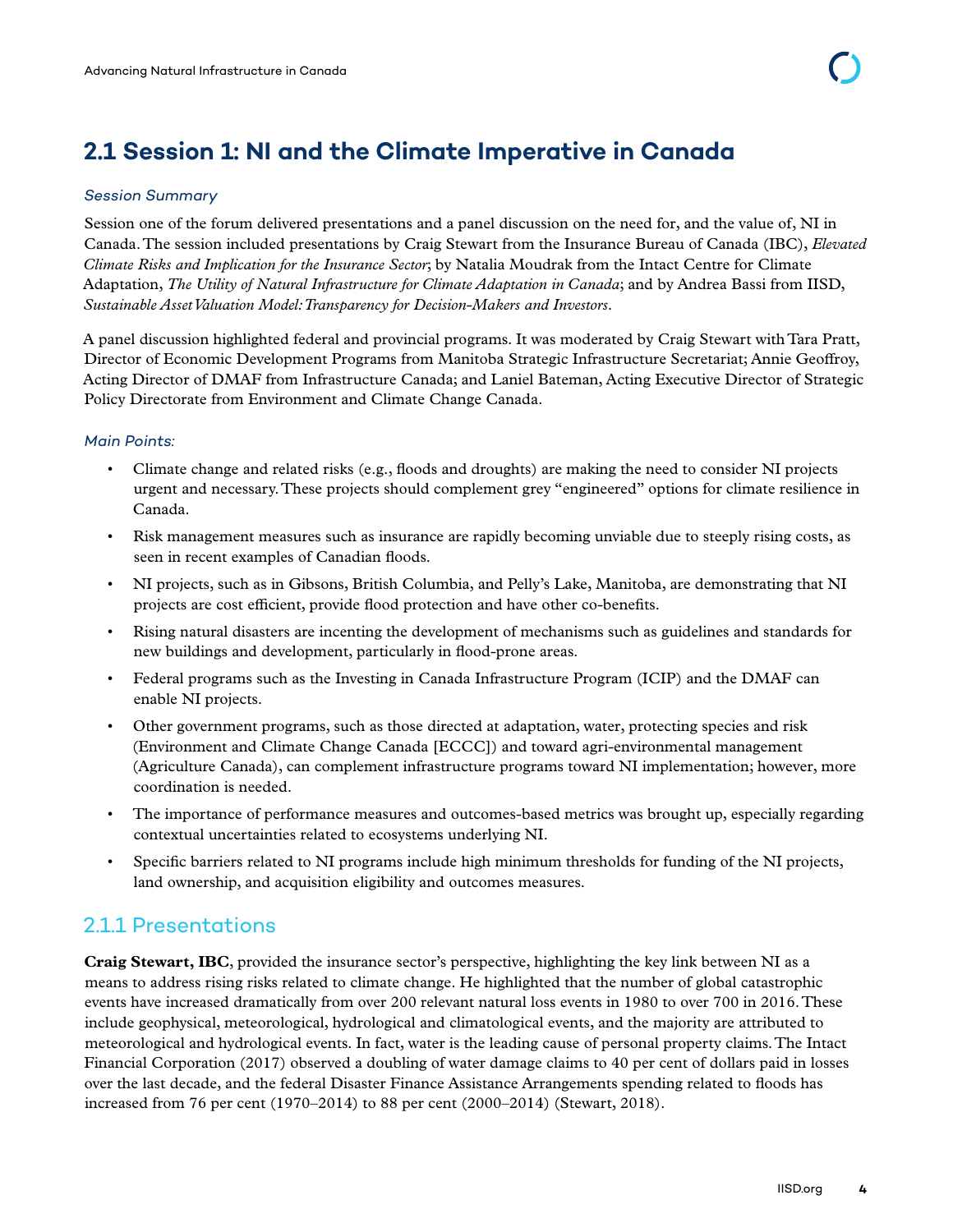# <span id="page-10-0"></span>**2.1 Session 1: NI and the Climate Imperative in Canada**

#### *Session Summary*

Session one of the forum delivered presentations and a panel discussion on the need for, and the value of, NI in Canada. The session included presentations by Craig Stewart from the Insurance Bureau of Canada (IBC), *Elevated Climate Risks and Implication for the Insurance Sector*; by Natalia Moudrak from the Intact Centre for Climate Adaptation, *The Utility of Natural Infrastructure for Climate Adaptation in Canada*; and by Andrea Bassi from IISD, *Sustainable Asset Valuation Model: Transparency for Decision-Makers and Investors*.

A panel discussion highlighted federal and provincial programs. It was moderated by Craig Stewart with Tara Pratt, Director of Economic Development Programs from Manitoba Strategic Infrastructure Secretariat; Annie Geoffroy, Acting Director of DMAF from Infrastructure Canada; and Laniel Bateman, Acting Executive Director of Strategic Policy Directorate from Environment and Climate Change Canada.

#### *Main Points:*

- Climate change and related risks (e.g., floods and droughts) are making the need to consider NI projects urgent and necessary. These projects should complement grey "engineered" options for climate resilience in Canada.
- Risk management measures such as insurance are rapidly becoming unviable due to steeply rising costs, as seen in recent examples of Canadian floods.
- NI projects, such as in Gibsons, British Columbia, and Pelly's Lake, Manitoba, are demonstrating that NI projects are cost efficient, provide flood protection and have other co-benefits.
- Rising natural disasters are incenting the development of mechanisms such as guidelines and standards for new buildings and development, particularly in flood-prone areas.
- Federal programs such as the Investing in Canada Infrastructure Program (ICIP) and the DMAF can enable NI projects.
- Other government programs, such as those directed at adaptation, water, protecting species and risk (Environment and Climate Change Canada [ECCC]) and toward agri-environmental management (Agriculture Canada), can complement infrastructure programs toward NI implementation; however, more coordination is needed.
- The importance of performance measures and outcomes-based metrics was brought up, especially regarding contextual uncertainties related to ecosystems underlying NI.
- Specific barriers related to NI programs include high minimum thresholds for funding of the NI projects, land ownership, and acquisition eligibility and outcomes measures.

### 2.1.1 Presentations

**Craig Stewart, IBC**, provided the insurance sector's perspective, highlighting the key link between NI as a means to address rising risks related to climate change. He highlighted that the number of global catastrophic events have increased dramatically from over 200 relevant natural loss events in 1980 to over 700 in 2016. These include geophysical, meteorological, hydrological and climatological events, and the majority are attributed to meteorological and hydrological events. In fact, water is the leading cause of personal property claims. The Intact Financial Corporation (2017) observed a doubling of water damage claims to 40 per cent of dollars paid in losses over the last decade, and the federal Disaster Finance Assistance Arrangements spending related to floods has increased from 76 per cent (1970–2014) to 88 per cent (2000–2014) (Stewart, 2018).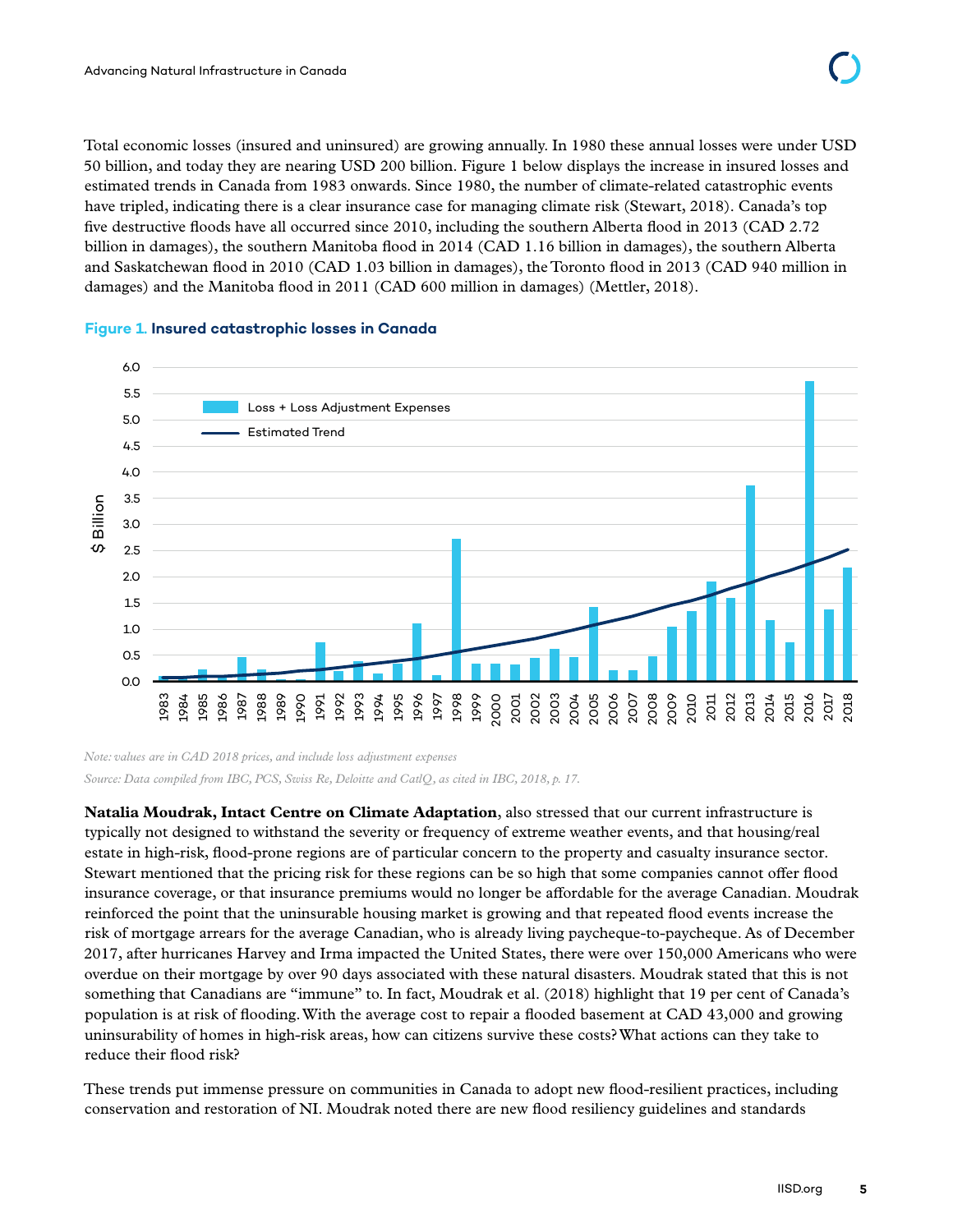Total economic losses (insured and uninsured) are growing annually. In 1980 these annual losses were under USD 50 billion, and today they are nearing USD 200 billion. Figure 1 below displays the increase in insured losses and estimated trends in Canada from 1983 onwards. Since 1980, the number of climate-related catastrophic events have tripled, indicating there is a clear insurance case for managing climate risk (Stewart, 2018). Canada's top five destructive floods have all occurred since 2010, including the southern Alberta flood in 2013 (CAD 2.72 billion in damages), the southern Manitoba flood in 2014 (CAD 1.16 billion in damages), the southern Alberta and Saskatchewan flood in 2010 (CAD 1.03 billion in damages), the Toronto flood in 2013 (CAD 940 million in damages) and the Manitoba flood in 2011 (CAD 600 million in damages) (Mettler, 2018).



#### **Figure 1. Insured catastrophic losses in Canada**

*Note: values are in CAD 2018 prices, and include loss adjustment expenses Source: Data compiled from IBC, PCS, Swiss Re, Deloitte and CatlQ, as cited in IBC, 2018, p. 17.* 

**Natalia Moudrak, Intact Centre on Climate Adaptation**, also stressed that our current infrastructure is typically not designed to withstand the severity or frequency of extreme weather events, and that housing/real estate in high-risk, flood-prone regions are of particular concern to the property and casualty insurance sector. Stewart mentioned that the pricing risk for these regions can be so high that some companies cannot offer flood insurance coverage, or that insurance premiums would no longer be affordable for the average Canadian. Moudrak reinforced the point that the uninsurable housing market is growing and that repeated flood events increase the risk of mortgage arrears for the average Canadian, who is already living paycheque-to-paycheque. As of December 2017, after hurricanes Harvey and Irma impacted the United States, there were over 150,000 Americans who were overdue on their mortgage by over 90 days associated with these natural disasters. Moudrak stated that this is not something that Canadians are "immune" to. In fact, Moudrak et al. (2018) highlight that 19 per cent of Canada's population is at risk of flooding. With the average cost to repair a flooded basement at CAD 43,000 and growing uninsurability of homes in high-risk areas, how can citizens survive these costs? What actions can they take to reduce their flood risk? Conservation and restoration of NI. Moutal Restoration of NI. Moutdak noted there are new flood resiliency guidelines and standards conservation and restoration of NI. Moutak noted there are new flood resiliency guideline

These trends put immense pressure on communities in Canada to adopt new flood-resilient practices, including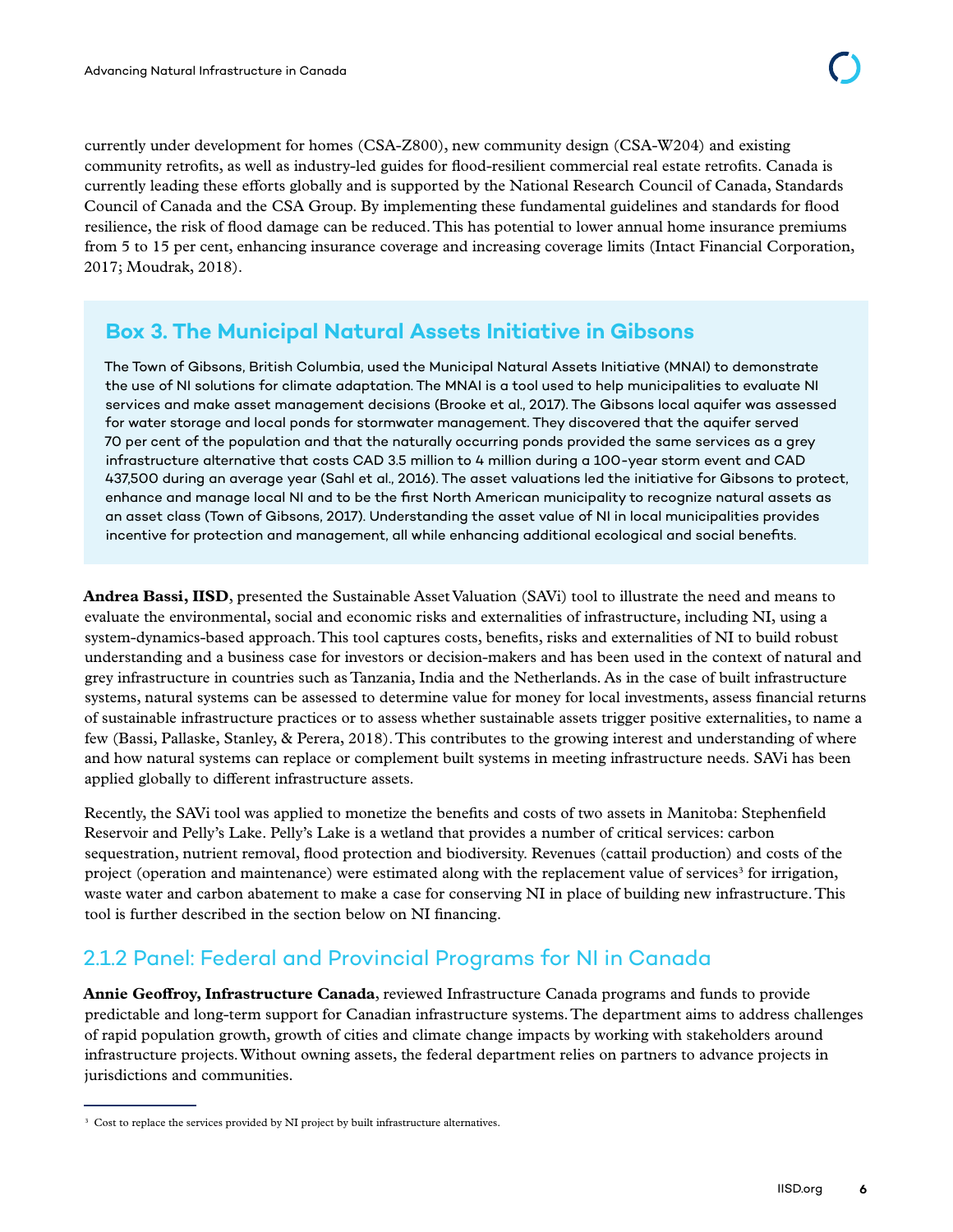<span id="page-12-0"></span>currently under development for homes (CSA-Z800), new community design (CSA-W204) and existing community retrofits, as well as industry-led guides for flood-resilient commercial real estate retrofits. Canada is currently leading these efforts globally and is supported by the National Research Council of Canada, Standards Council of Canada and the CSA Group. By implementing these fundamental guidelines and standards for flood resilience, the risk of flood damage can be reduced. This has potential to lower annual home insurance premiums from 5 to 15 per cent, enhancing insurance coverage and increasing coverage limits (Intact Financial Corporation, 2017; Moudrak, 2018).

### **Box 3. The Municipal Natural Assets Initiative in Gibsons**

The Town of Gibsons, British Columbia, used the Municipal Natural Assets Initiative (MNAI) to demonstrate the use of NI solutions for climate adaptation. The MNAI is a tool used to help municipalities to evaluate NI services and make asset management decisions (Brooke et al., 2017). The Gibsons local aquifer was assessed for water storage and local ponds for stormwater management. They discovered that the aquifer served 70 per cent of the population and that the naturally occurring ponds provided the same services as a grey infrastructure alternative that costs CAD 3.5 million to 4 million during a 100-year storm event and CAD 437,500 during an average year (Sahl et al., 2016). The asset valuations led the initiative for Gibsons to protect, enhance and manage local NI and to be the first North American municipality to recognize natural assets as an asset class (Town of Gibsons, 2017). Understanding the asset value of NI in local municipalities provides incentive for protection and management, all while enhancing additional ecological and social benefits.

**Andrea Bassi, IISD**, presented the Sustainable Asset Valuation (SAVi) tool to illustrate the need and means to evaluate the environmental, social and economic risks and externalities of infrastructure, including NI, using a system-dynamics-based approach. This tool captures costs, benefits, risks and externalities of NI to build robust understanding and a business case for investors or decision-makers and has been used in the context of natural and grey infrastructure in countries such as Tanzania, India and the Netherlands. As in the case of built infrastructure systems, natural systems can be assessed to determine value for money for local investments, assess financial returns of sustainable infrastructure practices or to assess whether sustainable assets trigger positive externalities, to name a few (Bassi, Pallaske, Stanley, & Perera, 2018). This contributes to the growing interest and understanding of where and how natural systems can replace or complement built systems in meeting infrastructure needs. SAVi has been applied globally to different infrastructure assets.

Recently, the SAVi tool was applied to monetize the benefits and costs of two assets in Manitoba: Stephenfield Reservoir and Pelly's Lake. Pelly's Lake is a wetland that provides a number of critical services: carbon sequestration, nutrient removal, flood protection and biodiversity. Revenues (cattail production) and costs of the project (operation and maintenance) were estimated along with the replacement value of services<sup>3</sup> for irrigation, waste water and carbon abatement to make a case for conserving NI in place of building new infrastructure. This tool is further described in the section below on NI financing.

# 2.1.2 Panel: Federal and Provincial Programs for NI in Canada

**Annie Geoffroy, Infrastructure Canada**, reviewed Infrastructure Canada programs and funds to provide predictable and long-term support for Canadian infrastructure systems. The department aims to address challenges of rapid population growth, growth of cities and climate change impacts by working with stakeholders around infrastructure projects. Without owning assets, the federal department relies on partners to advance projects in jurisdictions and communities.

<sup>&</sup>lt;sup>3</sup> Cost to replace the services provided by NI project by built infrastructure alternatives.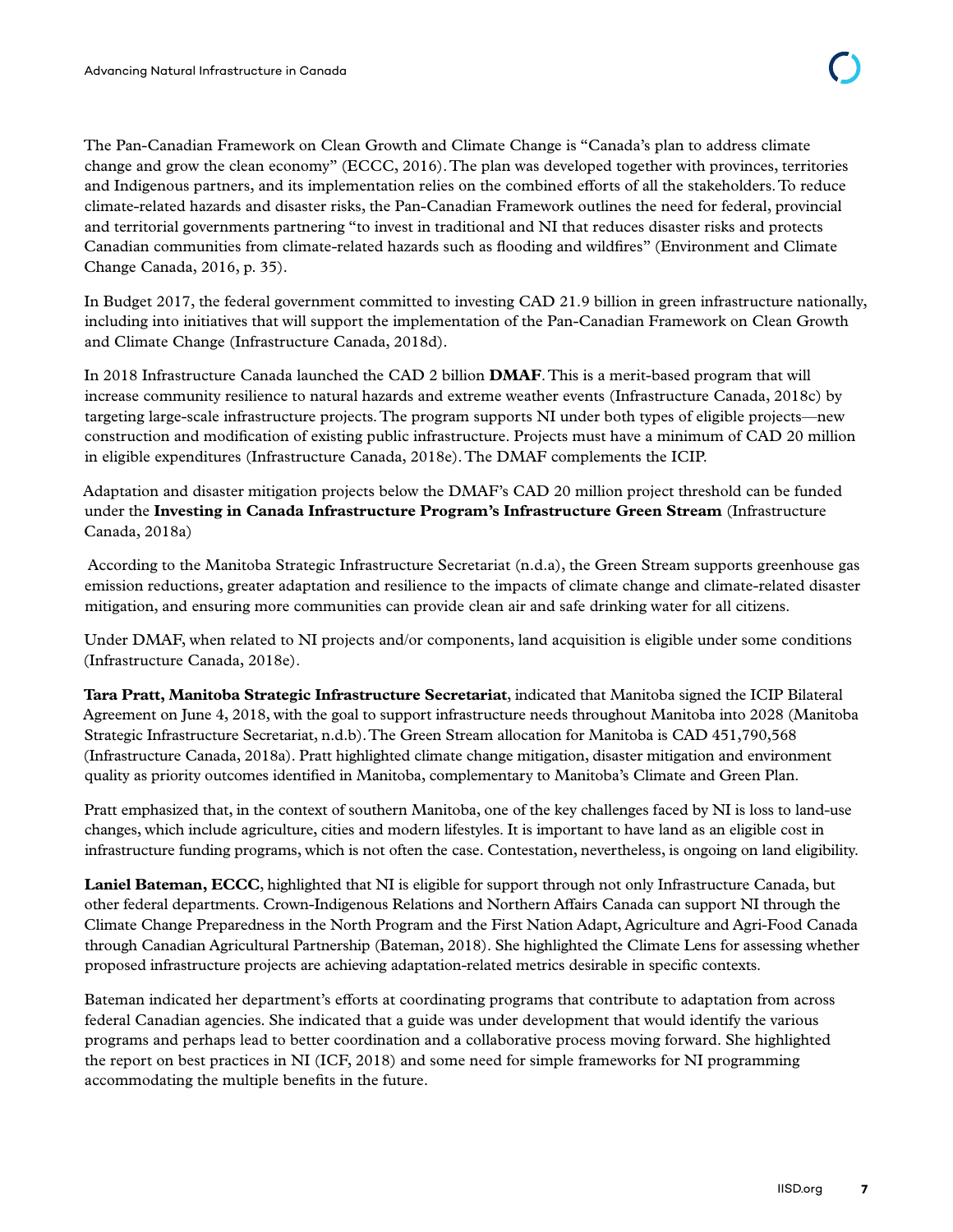The Pan-Canadian Framework on Clean Growth and Climate Change is "Canada's plan to address climate change and grow the clean economy" (ECCC, 2016). The plan was developed together with provinces, territories and Indigenous partners, and its implementation relies on the combined efforts of all the stakeholders. To reduce climate-related hazards and disaster risks, the Pan-Canadian Framework outlines the need for federal, provincial and territorial governments partnering "to invest in traditional and NI that reduces disaster risks and protects Canadian communities from climate-related hazards such as flooding and wildfires" (Environment and Climate Change Canada, 2016, p. 35).

In Budget 2017, the federal government committed to investing CAD 21.9 billion in green infrastructure nationally, including into initiatives that will support the implementation of the Pan-Canadian Framework on Clean Growth and Climate Change (Infrastructure Canada, 2018d).

In 2018 Infrastructure Canada launched the CAD 2 billion **DMAF**. This is a merit-based program that will increase community resilience to natural hazards and extreme weather events (Infrastructure Canada, 2018c) by targeting large-scale infrastructure projects. The program supports NI under both types of eligible projects—new construction and modification of existing public infrastructure. Projects must have a minimum of CAD 20 million in eligible expenditures (Infrastructure Canada, 2018e). The DMAF complements the ICIP.

Adaptation and disaster mitigation projects below the DMAF's CAD 20 million project threshold can be funded under the **Investing in Canada Infrastructure Program's Infrastructure Green Stream** (Infrastructure Canada, 2018a)

 According to the Manitoba Strategic Infrastructure Secretariat (n.d.a), the Green Stream supports greenhouse gas emission reductions, greater adaptation and resilience to the impacts of climate change and climate-related disaster mitigation, and ensuring more communities can provide clean air and safe drinking water for all citizens.

Under DMAF, when related to NI projects and/or components, land acquisition is eligible under some conditions (Infrastructure Canada, 2018e).

**Tara Pratt, Manitoba Strategic Infrastructure Secretariat**, indicated that Manitoba signed the ICIP Bilateral Agreement on June 4, 2018, with the goal to support infrastructure needs throughout Manitoba into 2028 (Manitoba Strategic Infrastructure Secretariat, n.d.b). The Green Stream allocation for Manitoba is CAD 451,790,568 (Infrastructure Canada, 2018a). Pratt highlighted climate change mitigation, disaster mitigation and environment quality as priority outcomes identified in Manitoba, complementary to Manitoba's Climate and Green Plan.

Pratt emphasized that, in the context of southern Manitoba, one of the key challenges faced by NI is loss to land-use changes, which include agriculture, cities and modern lifestyles. It is important to have land as an eligible cost in infrastructure funding programs, which is not often the case. Contestation, nevertheless, is ongoing on land eligibility.

**Laniel Bateman, ECCC**, highlighted that NI is eligible for support through not only Infrastructure Canada, but other federal departments. Crown-Indigenous Relations and Northern Affairs Canada can support NI through the Climate Change Preparedness in the North Program and the First Nation Adapt, Agriculture and Agri-Food Canada through Canadian Agricultural Partnership (Bateman, 2018). She highlighted the Climate Lens for assessing whether proposed infrastructure projects are achieving adaptation-related metrics desirable in specific contexts.

Bateman indicated her department's efforts at coordinating programs that contribute to adaptation from across federal Canadian agencies. She indicated that a guide was under development that would identify the various programs and perhaps lead to better coordination and a collaborative process moving forward. She highlighted the report on best practices in NI (ICF, 2018) and some need for simple frameworks for NI programming accommodating the multiple benefits in the future.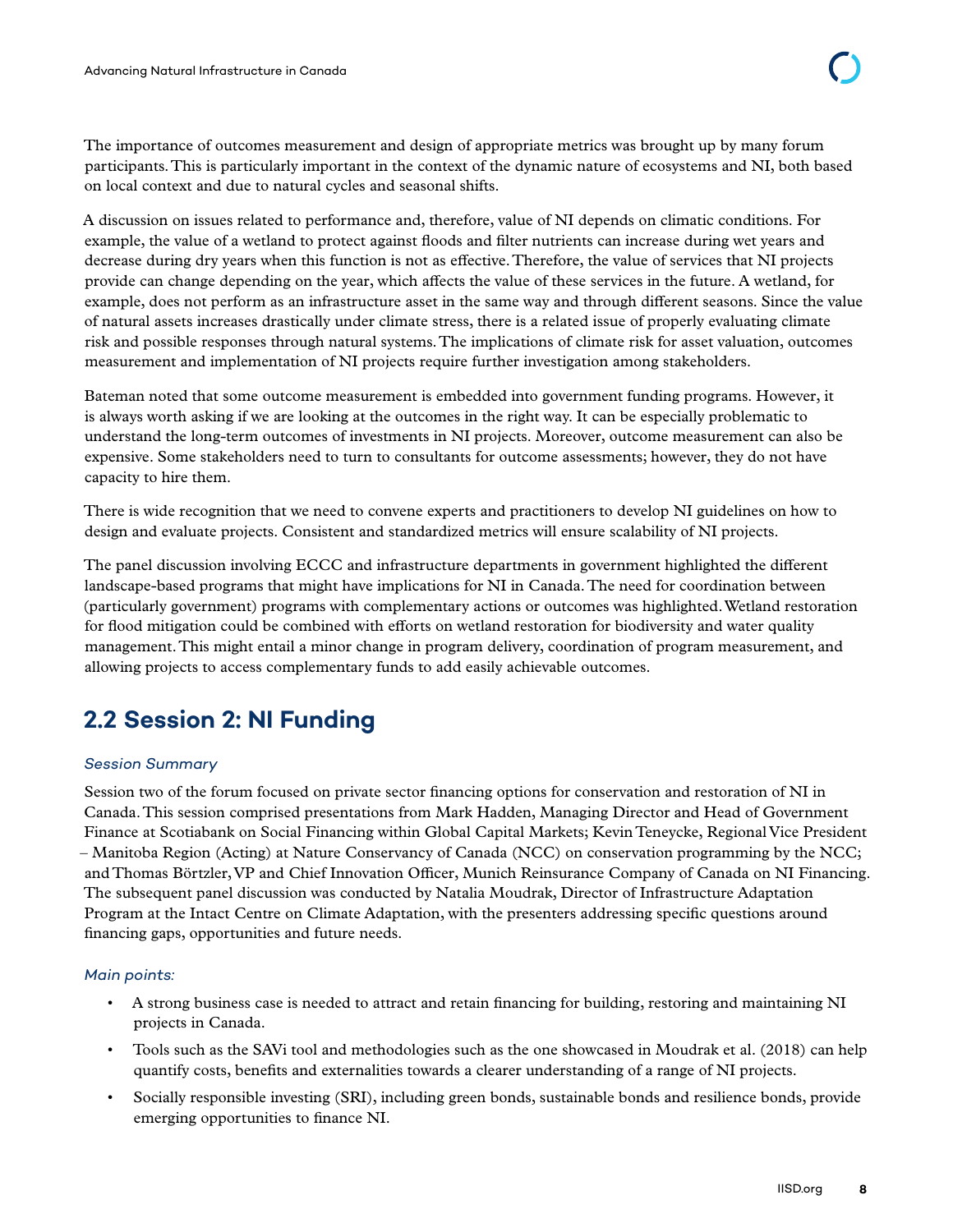<span id="page-14-0"></span>The importance of outcomes measurement and design of appropriate metrics was brought up by many forum participants. This is particularly important in the context of the dynamic nature of ecosystems and NI, both based on local context and due to natural cycles and seasonal shifts.

A discussion on issues related to performance and, therefore, value of NI depends on climatic conditions. For example, the value of a wetland to protect against floods and filter nutrients can increase during wet years and decrease during dry years when this function is not as effective. Therefore, the value of services that NI projects provide can change depending on the year, which affects the value of these services in the future. A wetland, for example, does not perform as an infrastructure asset in the same way and through different seasons. Since the value of natural assets increases drastically under climate stress, there is a related issue of properly evaluating climate risk and possible responses through natural systems. The implications of climate risk for asset valuation, outcomes measurement and implementation of NI projects require further investigation among stakeholders.

Bateman noted that some outcome measurement is embedded into government funding programs. However, it is always worth asking if we are looking at the outcomes in the right way. It can be especially problematic to understand the long-term outcomes of investments in NI projects. Moreover, outcome measurement can also be expensive. Some stakeholders need to turn to consultants for outcome assessments; however, they do not have capacity to hire them.

There is wide recognition that we need to convene experts and practitioners to develop NI guidelines on how to design and evaluate projects. Consistent and standardized metrics will ensure scalability of NI projects.

The panel discussion involving ECCC and infrastructure departments in government highlighted the different landscape-based programs that might have implications for NI in Canada. The need for coordination between (particularly government) programs with complementary actions or outcomes was highlighted. Wetland restoration for flood mitigation could be combined with efforts on wetland restoration for biodiversity and water quality management. This might entail a minor change in program delivery, coordination of program measurement, and allowing projects to access complementary funds to add easily achievable outcomes.

# **2.2 Session 2: NI Funding**

#### *Session Summary*

Session two of the forum focused on private sector financing options for conservation and restoration of NI in Canada. This session comprised presentations from Mark Hadden, Managing Director and Head of Government Finance at Scotiabank on Social Financing within Global Capital Markets; Kevin Teneycke, Regional Vice President – Manitoba Region (Acting) at Nature Conservancy of Canada (NCC) on conservation programming by the NCC; and Thomas Börtzler, VP and Chief Innovation Officer, Munich Reinsurance Company of Canada on NI Financing. The subsequent panel discussion was conducted by Natalia Moudrak, Director of Infrastructure Adaptation Program at the Intact Centre on Climate Adaptation, with the presenters addressing specific questions around financing gaps, opportunities and future needs.

#### *Main points:*

- A strong business case is needed to attract and retain financing for building, restoring and maintaining NI projects in Canada.
- Tools such as the SAVi tool and methodologies such as the one showcased in Moudrak et al. (2018) can help quantify costs, benefits and externalities towards a clearer understanding of a range of NI projects.
- Socially responsible investing (SRI), including green bonds, sustainable bonds and resilience bonds, provide emerging opportunities to finance NI.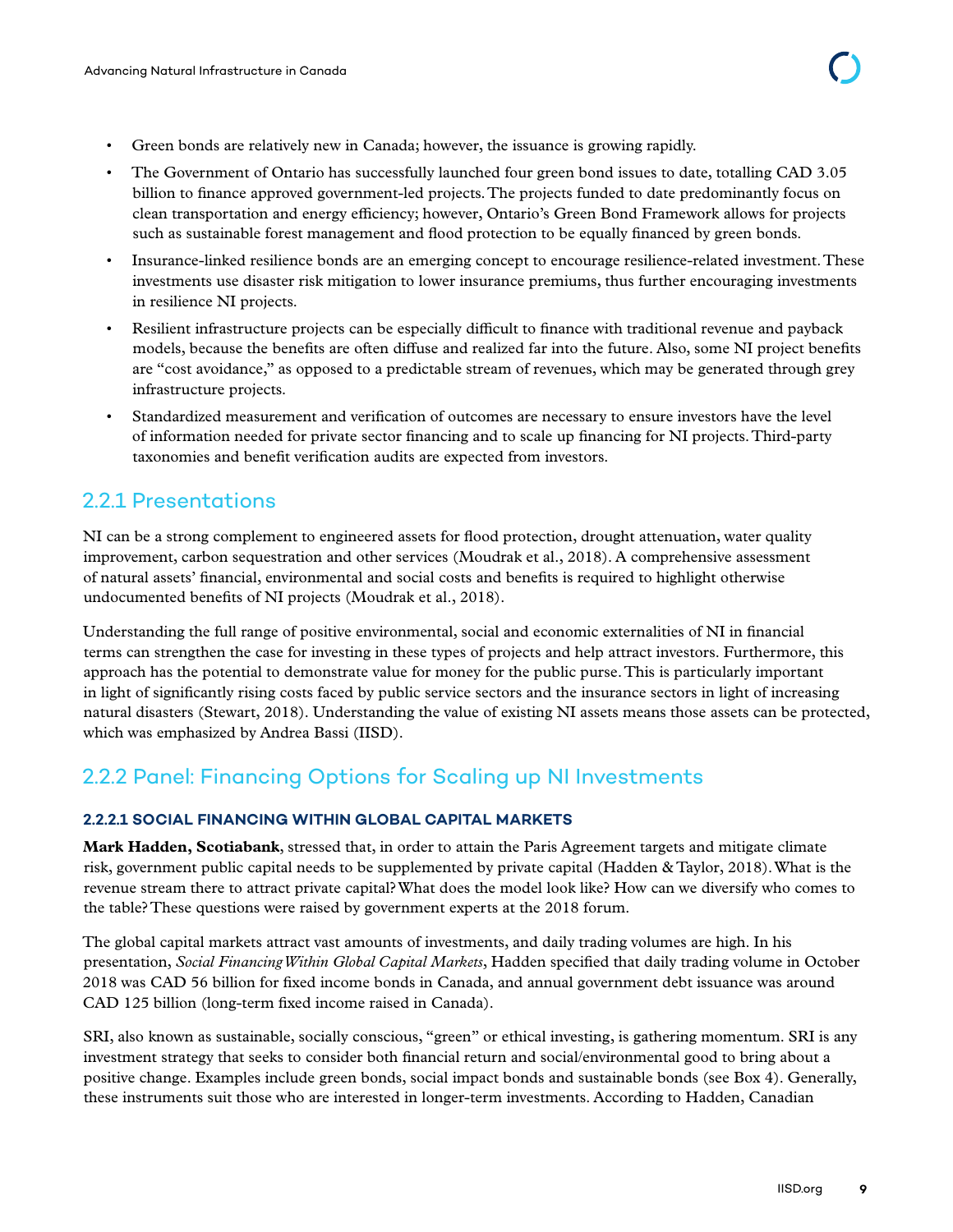- <span id="page-15-0"></span>• Green bonds are relatively new in Canada; however, the issuance is growing rapidly.
- The Government of Ontario has successfully launched four green bond issues to date, totalling CAD 3.05 billion to finance approved government-led projects. The projects funded to date predominantly focus on clean transportation and energy efficiency; however, Ontario's Green Bond Framework allows for projects such as sustainable forest management and flood protection to be equally financed by green bonds.
- Insurance-linked resilience bonds are an emerging concept to encourage resilience-related investment. These investments use disaster risk mitigation to lower insurance premiums, thus further encouraging investments in resilience NI projects.
- Resilient infrastructure projects can be especially difficult to finance with traditional revenue and payback models, because the benefits are often diffuse and realized far into the future. Also, some NI project benefits are "cost avoidance," as opposed to a predictable stream of revenues, which may be generated through grey infrastructure projects.
- Standardized measurement and verification of outcomes are necessary to ensure investors have the level of information needed for private sector financing and to scale up financing for NI projects. Third-party taxonomies and benefit verification audits are expected from investors.

# 2.2.1 Presentations

NI can be a strong complement to engineered assets for flood protection, drought attenuation, water quality improvement, carbon sequestration and other services (Moudrak et al., 2018). A comprehensive assessment of natural assets' financial, environmental and social costs and benefits is required to highlight otherwise undocumented benefits of NI projects (Moudrak et al., 2018).

Understanding the full range of positive environmental, social and economic externalities of NI in financial terms can strengthen the case for investing in these types of projects and help attract investors. Furthermore, this approach has the potential to demonstrate value for money for the public purse. This is particularly important in light of significantly rising costs faced by public service sectors and the insurance sectors in light of increasing natural disasters (Stewart, 2018). Understanding the value of existing NI assets means those assets can be protected, which was emphasized by Andrea Bassi (IISD).

# 2.2.2 Panel: Financing Options for Scaling up NI Investments

#### **2.2.2.1 SOCIAL FINANCING WITHIN GLOBAL CAPITAL MARKETS**

**Mark Hadden, Scotiabank**, stressed that, in order to attain the Paris Agreement targets and mitigate climate risk, government public capital needs to be supplemented by private capital (Hadden & Taylor, 2018). What is the revenue stream there to attract private capital? What does the model look like? How can we diversify who comes to the table? These questions were raised by government experts at the 2018 forum.

The global capital markets attract vast amounts of investments, and daily trading volumes are high. In his presentation, *Social Financing Within Global Capital Markets*, Hadden specified that daily trading volume in October 2018 was CAD 56 billion for fixed income bonds in Canada, and annual government debt issuance was around CAD 125 billion (long-term fixed income raised in Canada).

SRI, also known as sustainable, socially conscious, "green" or ethical investing, is gathering momentum. SRI is any investment strategy that seeks to consider both financial return and social/environmental good to bring about a positive change. Examples include green bonds, social impact bonds and sustainable bonds (see Box 4). Generally, these instruments suit those who are interested in longer-term investments. According to Hadden, Canadian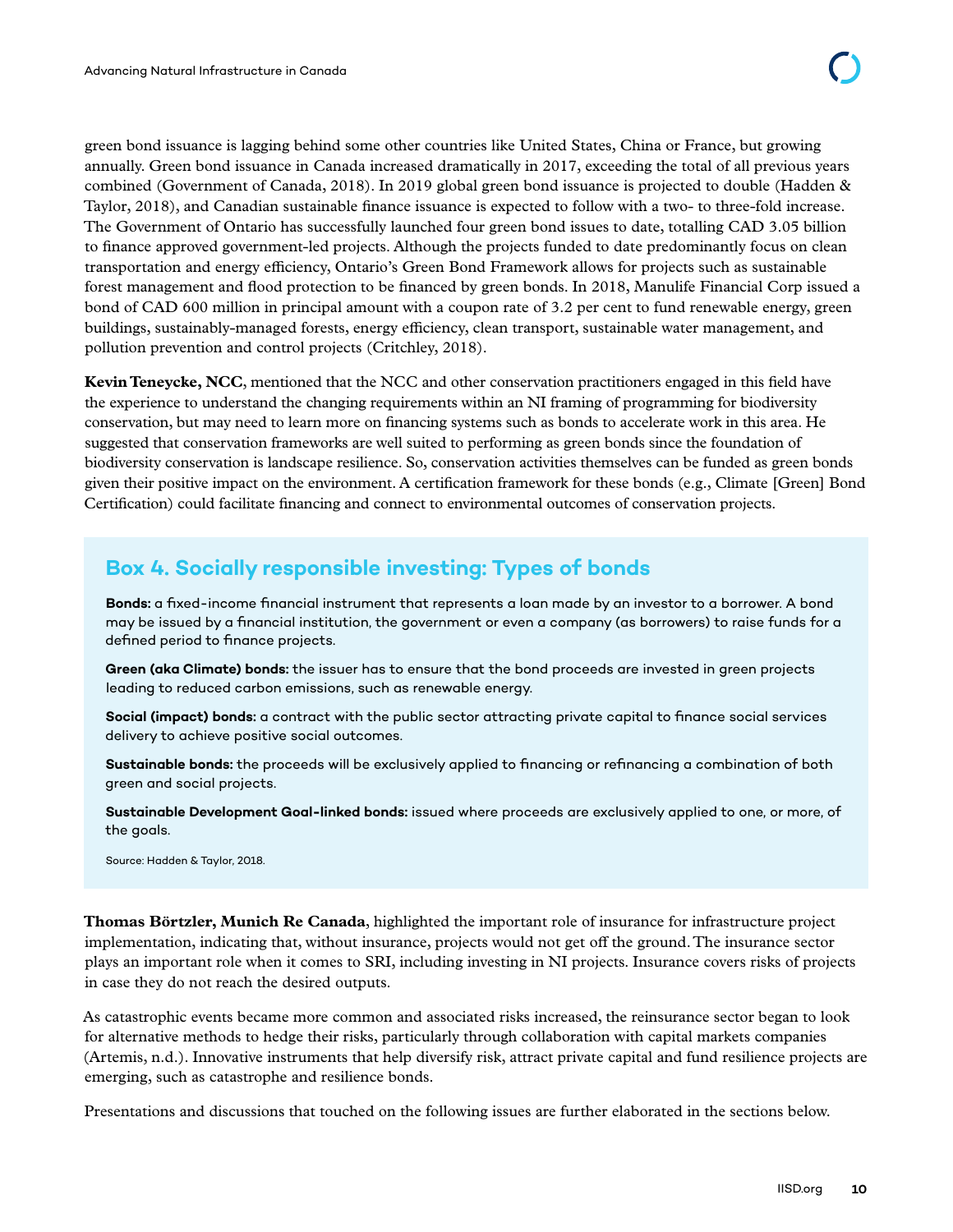green bond issuance is lagging behind some other countries like United States, China or France, but growing annually. Green bond issuance in Canada increased dramatically in 2017, exceeding the total of all previous years combined (Government of Canada, 2018). In 2019 global green bond issuance is projected to double (Hadden & Taylor, 2018), and Canadian sustainable finance issuance is expected to follow with a two- to three-fold increase. The Government of Ontario has successfully launched four green bond issues to date, totalling CAD 3.05 billion to finance approved government-led projects. Although the projects funded to date predominantly focus on clean transportation and energy efficiency, Ontario's Green Bond Framework allows for projects such as sustainable forest management and flood protection to be financed by green bonds. In 2018, Manulife Financial Corp issued a bond of CAD 600 million in principal amount with a coupon rate of 3.2 per cent to fund renewable energy, green buildings, sustainably-managed forests, energy efficiency, clean transport, sustainable water management, and pollution prevention and control projects (Critchley, 2018).

**Kevin Teneycke, NCC**, mentioned that the NCC and other conservation practitioners engaged in this field have the experience to understand the changing requirements within an NI framing of programming for biodiversity conservation, but may need to learn more on financing systems such as bonds to accelerate work in this area. He suggested that conservation frameworks are well suited to performing as green bonds since the foundation of biodiversity conservation is landscape resilience. So, conservation activities themselves can be funded as green bonds given their positive impact on the environment. A certification framework for these bonds (e.g., Climate [Green] Bond Certification) could facilitate financing and connect to environmental outcomes of conservation projects.

# **Box 4. Socially responsible investing: Types of bonds**

**Bonds:** a fixed-income financial instrument that represents a loan made by an investor to a borrower. A bond may be issued by a financial institution, the government or even a company (as borrowers) to raise funds for a defined period to finance projects.

**Green (aka Climate) bonds:** the issuer has to ensure that the bond proceeds are invested in green projects leading to reduced carbon emissions, such as renewable energy.

**Social (impact) bonds:** a contract with the public sector attracting private capital to finance social services delivery to achieve positive social outcomes.

**Sustainable bonds:** the proceeds will be exclusively applied to financing or refinancing a combination of both green and social projects.

**Sustainable Development Goal-linked bonds:** issued where proceeds are exclusively applied to one, or more, of the goals.

Source: Hadden & Taylor, 2018.

**Thomas Börtzler, Munich Re Canada**, highlighted the important role of insurance for infrastructure project implementation, indicating that, without insurance, projects would not get off the ground. The insurance sector plays an important role when it comes to SRI, including investing in NI projects. Insurance covers risks of projects in case they do not reach the desired outputs.

As catastrophic events became more common and associated risks increased, the reinsurance sector began to look for alternative methods to hedge their risks, particularly through collaboration with capital markets companies (Artemis, n.d.). Innovative instruments that help diversify risk, attract private capital and fund resilience projects are emerging, such as catastrophe and resilience bonds.

Presentations and discussions that touched on the following issues are further elaborated in the sections below.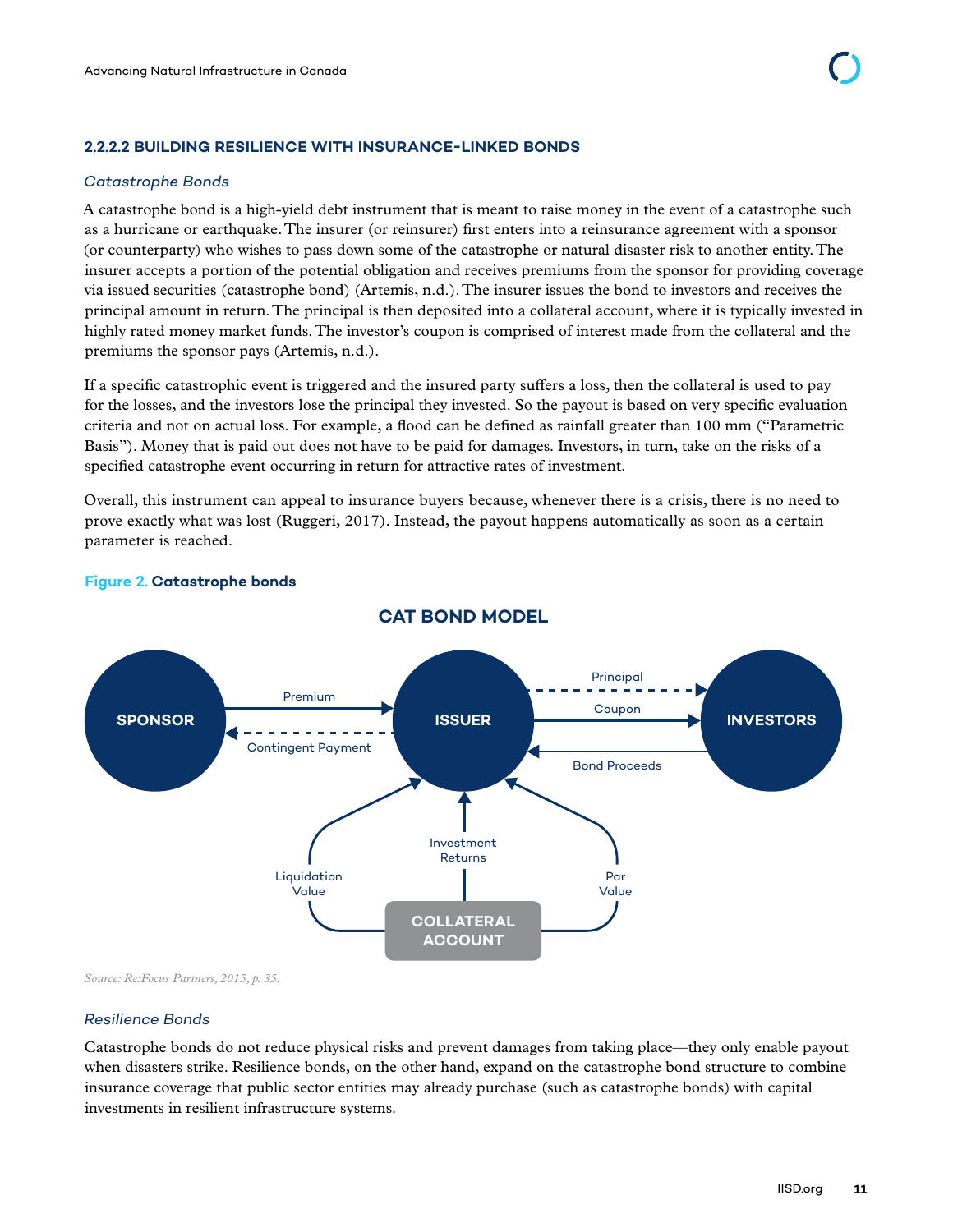#### <span id="page-17-0"></span>**2.2.2.2 BUILDING RESILIENCE WITH INSURANCE-LINKED BONDS**

#### *Catastrophe Bonds*

A catastrophe bond is a high-yield debt instrument that is meant to raise money in the event of a catastrophe such as a hurricane or earthquake. The insurer (or reinsurer) first enters into a reinsurance agreement with a sponsor (or counterparty) who wishes to pass down some of the catastrophe or natural disaster risk to another entity. The insurer accepts a portion of the potential obligation and receives premiums from the sponsor for providing coverage via issued securities (catastrophe bond) (Artemis, n.d.). The insurer issues the bond to investors and receives the principal amount in return. The principal is then deposited into a collateral account, where it is typically invested in highly rated money market funds. The investor's coupon is comprised of interest made from the collateral and the premiums the sponsor pays (Artemis, n.d.).

If a specific catastrophic event is triggered and the insured party suffers a loss, then the collateral is used to pay for the losses, and the investors lose the principal they invested. So the payout is based on very specific evaluation criteria and not on actual loss. For example, a flood can be defined as rainfall greater than 100 mm ("Parametric Basis"). Money that is paid out does not have to be paid for damages. Investors, in turn, take on the risks of a specified catastrophe event occurring in return for attractive rates of investment.

Overall, this instrument can appeal to insurance buyers because, whenever there is a crisis, there is no need to prove exactly what was lost (Ruggeri, 2017). Instead, the payout happens automatically as soon as a certain parameter is reached.



#### **Figure 2. Catastrophe bonds**

*Source: Re:Focus Partners, 2015, p. 35.*

#### *Resilience Bonds*

Catastrophe bonds do not reduce physical risks and prevent damages from taking place—they only enable payout when disasters strike. Resilience bonds, on the other hand, expand on the catastrophe bond structure to combine insurance coverage that public sector entities may already purchase (such as catastrophe bonds) with capital investments in resilient infrastructure systems.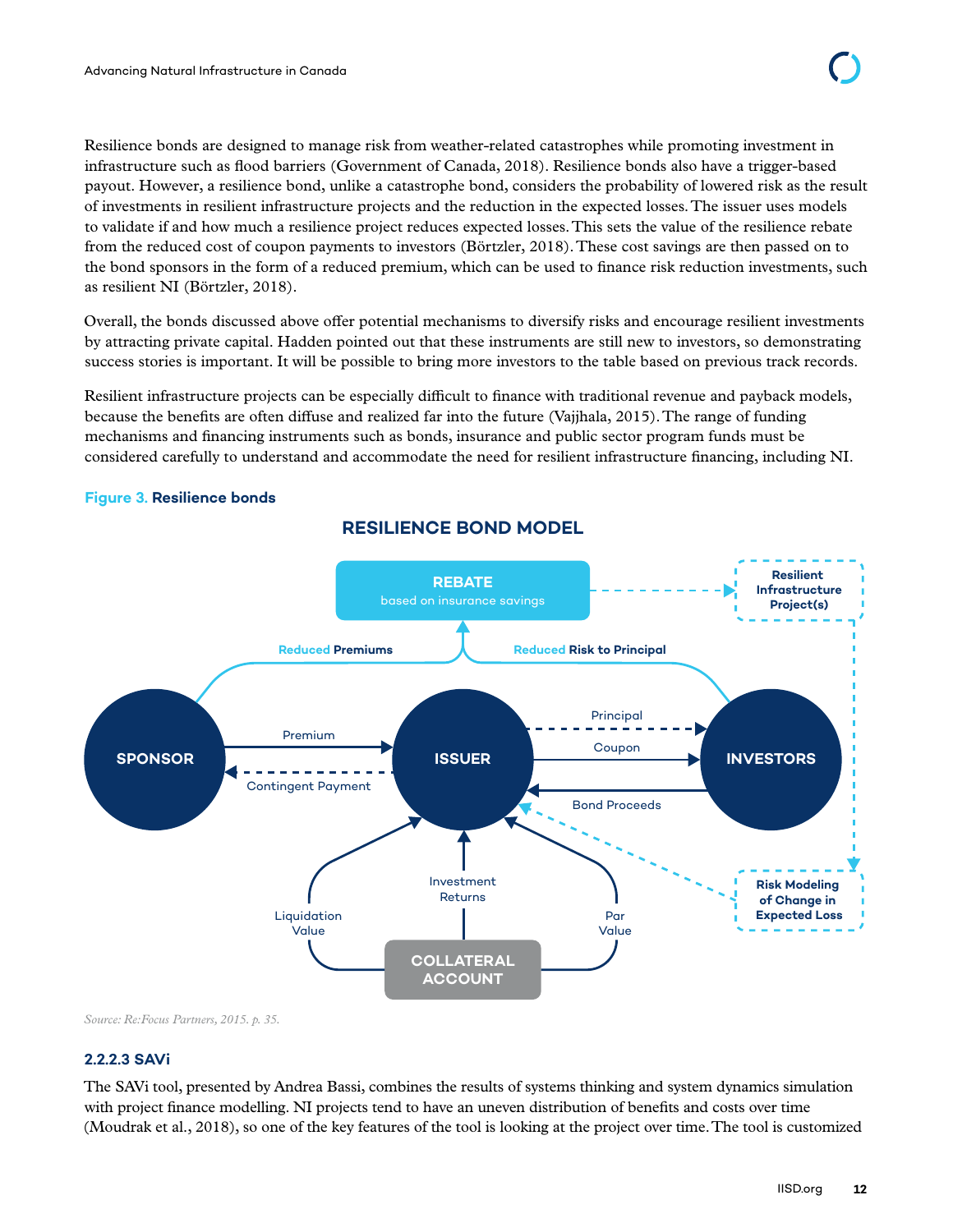<span id="page-18-0"></span>Resilience bonds are designed to manage risk from weather-related catastrophes while promoting investment in infrastructure such as flood barriers (Government of Canada, 2018). Resilience bonds also have a trigger-based payout. However, a resilience bond, unlike a catastrophe bond, considers the probability of lowered risk as the result of investments in resilient infrastructure projects and the reduction in the expected losses. The issuer uses models to validate if and how much a resilience project reduces expected losses. This sets the value of the resilience rebate from the reduced cost of coupon payments to investors (Börtzler, 2018). These cost savings are then passed on to the bond sponsors in the form of a reduced premium, which can be used to finance risk reduction investments, such as resilient NI (Börtzler, 2018).

Overall, the bonds discussed above offer potential mechanisms to diversify risks and encourage resilient investments by attracting private capital. Hadden pointed out that these instruments are still new to investors, so demonstrating success stories is important. It will be possible to bring more investors to the table based on previous track records.

Resilient infrastructure projects can be especially difficult to finance with traditional revenue and payback models, because the benefits are often diffuse and realized far into the future (Vajjhala, 2015). The range of funding mechanisms and financing instruments such as bonds, insurance and public sector program funds must be considered carefully to understand and accommodate the need for resilient infrastructure financing, including NI.

#### **Figure 3. Resilience bonds**



**RESILIENCE BOND MODEL**

*Source: Re:Focus Partners, 2015. p. 35.* 

#### **2.2.2.3 SAVi**

The SAVi tool, presented by Andrea Bassi, combines the results of systems thinking and system dynamics simulation with project finance modelling. NI projects tend to have an uneven distribution of benefits and costs over time (Moudrak et al., 2018), so one of the key features of the tool is looking at the project over time. The tool is customized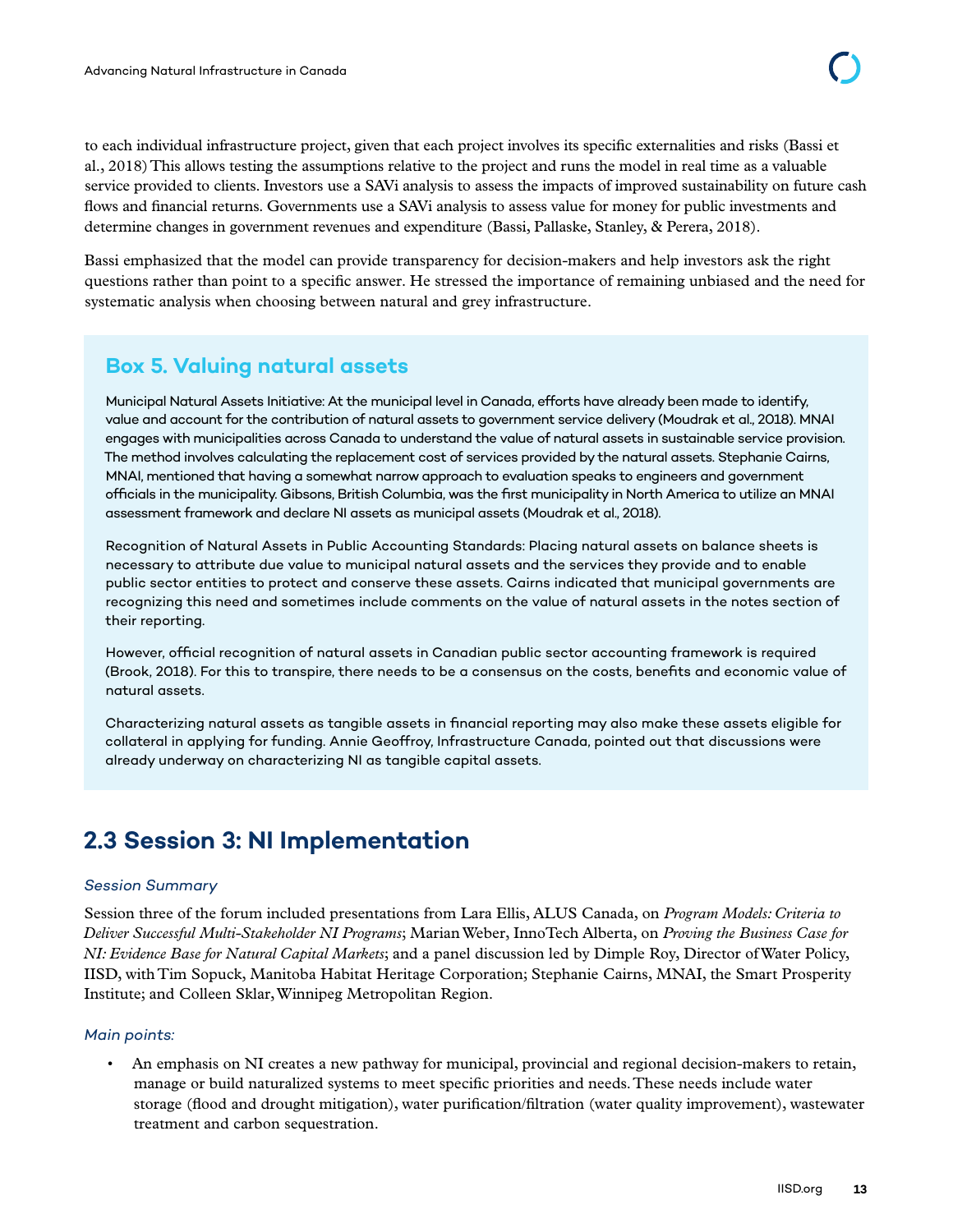<span id="page-19-0"></span>to each individual infrastructure project, given that each project involves its specific externalities and risks (Bassi et al., 2018) This allows testing the assumptions relative to the project and runs the model in real time as a valuable service provided to clients. Investors use a SAVi analysis to assess the impacts of improved sustainability on future cash flows and financial returns. Governments use a SAVi analysis to assess value for money for public investments and determine changes in government revenues and expenditure (Bassi, Pallaske, Stanley, & Perera, 2018).

Bassi emphasized that the model can provide transparency for decision-makers and help investors ask the right questions rather than point to a specific answer. He stressed the importance of remaining unbiased and the need for systematic analysis when choosing between natural and grey infrastructure.

### **Box 5. Valuing natural assets**

Municipal Natural Assets Initiative: At the municipal level in Canada, efforts have already been made to identify, value and account for the contribution of natural assets to government service delivery (Moudrak et al., 2018). MNAI engages with municipalities across Canada to understand the value of natural assets in sustainable service provision. The method involves calculating the replacement cost of services provided by the natural assets. Stephanie Cairns, MNAI, mentioned that having a somewhat narrow approach to evaluation speaks to engineers and government officials in the municipality. Gibsons, British Columbia, was the first municipality in North America to utilize an MNAI assessment framework and declare NI assets as municipal assets (Moudrak et al., 2018).

Recognition of Natural Assets in Public Accounting Standards: Placing natural assets on balance sheets is necessary to attribute due value to municipal natural assets and the services they provide and to enable public sector entities to protect and conserve these assets. Cairns indicated that municipal governments are recognizing this need and sometimes include comments on the value of natural assets in the notes section of their reporting.

However, official recognition of natural assets in Canadian public sector accounting framework is required (Brook, 2018). For this to transpire, there needs to be a consensus on the costs, benefits and economic value of natural assets.

Characterizing natural assets as tangible assets in financial reporting may also make these assets eligible for collateral in applying for funding. Annie Geoffroy, Infrastructure Canada, pointed out that discussions were already underway on characterizing NI as tangible capital assets.

# **2.3 Session 3: NI Implementation**

#### *Session Summary*

Session three of the forum included presentations from Lara Ellis, ALUS Canada, on *Program Models: Criteria to Deliver Successful Multi-Stakeholder NI Programs*; Marian Weber, InnoTech Alberta, on *Proving the Business Case for NI: Evidence Base for Natural Capital Markets*; and a panel discussion led by Dimple Roy, Director of Water Policy, IISD, with Tim Sopuck, Manitoba Habitat Heritage Corporation; Stephanie Cairns, MNAI, the Smart Prosperity Institute; and Colleen Sklar, Winnipeg Metropolitan Region.

#### *Main points:*

• An emphasis on NI creates a new pathway for municipal, provincial and regional decision-makers to retain, manage or build naturalized systems to meet specific priorities and needs. These needs include water storage (flood and drought mitigation), water purification/filtration (water quality improvement), wastewater treatment and carbon sequestration.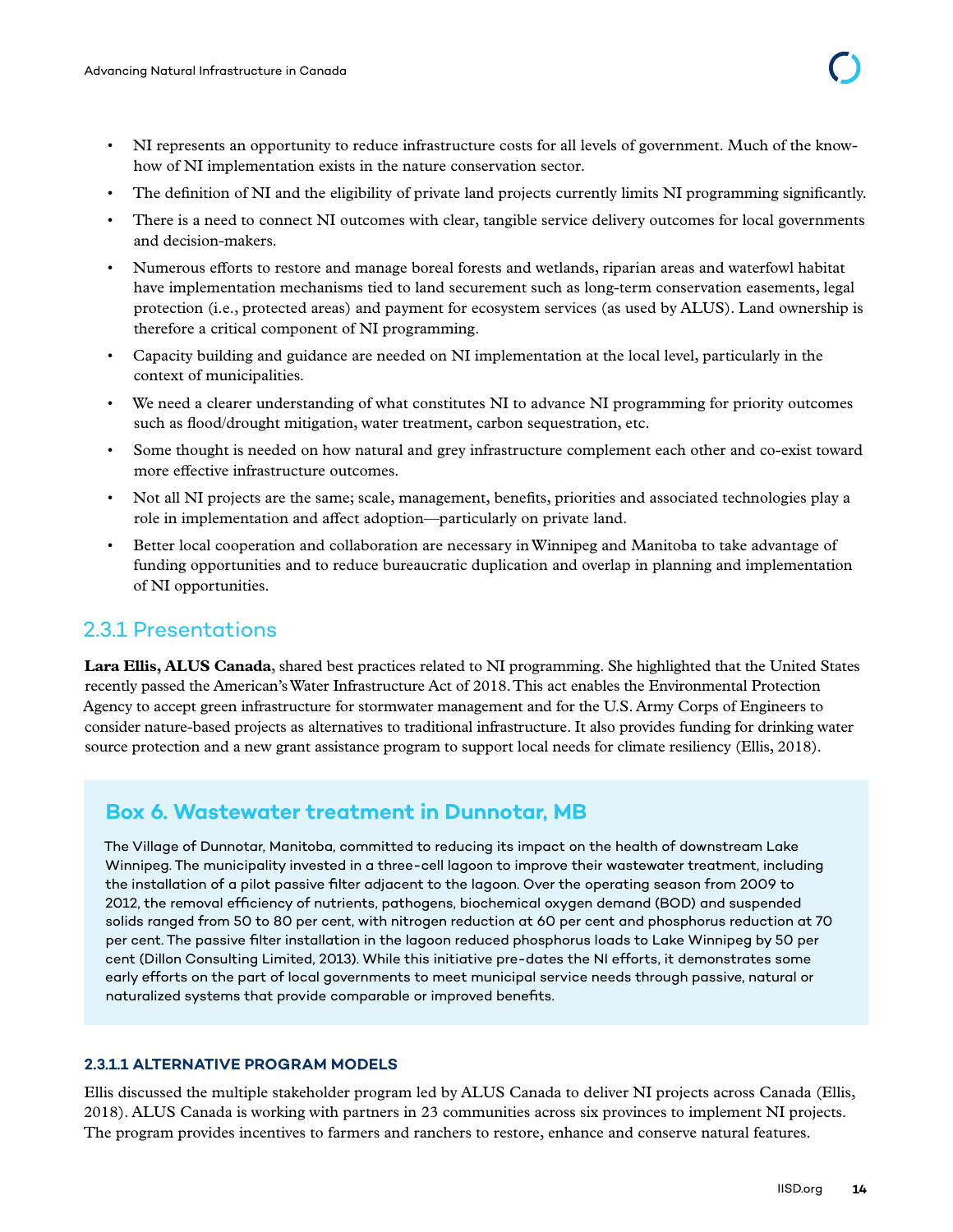- <span id="page-20-0"></span>• NI represents an opportunity to reduce infrastructure costs for all levels of government. Much of the knowhow of NI implementation exists in the nature conservation sector.
- The definition of NI and the eligibility of private land projects currently limits NI programming significantly.
- There is a need to connect NI outcomes with clear, tangible service delivery outcomes for local governments and decision-makers.
- Numerous efforts to restore and manage boreal forests and wetlands, riparian areas and waterfowl habitat have implementation mechanisms tied to land securement such as long-term conservation easements, legal protection (i.e., protected areas) and payment for ecosystem services (as used by ALUS). Land ownership is therefore a critical component of NI programming.
- Capacity building and guidance are needed on NI implementation at the local level, particularly in the context of municipalities.
- We need a clearer understanding of what constitutes NI to advance NI programming for priority outcomes such as flood/drought mitigation, water treatment, carbon sequestration, etc.
- Some thought is needed on how natural and grey infrastructure complement each other and co-exist toward more effective infrastructure outcomes.
- Not all NI projects are the same; scale, management, benefits, priorities and associated technologies play a role in implementation and affect adoption—particularly on private land.
- Better local cooperation and collaboration are necessary in Winnipeg and Manitoba to take advantage of funding opportunities and to reduce bureaucratic duplication and overlap in planning and implementation of NI opportunities.

# 2.3.1 Presentations

**Lara Ellis, ALUS Canada**, shared best practices related to NI programming. She highlighted that the United States recently passed the American's Water Infrastructure Act of 2018. This act enables the Environmental Protection Agency to accept green infrastructure for stormwater management and for the U.S. Army Corps of Engineers to consider nature-based projects as alternatives to traditional infrastructure. It also provides funding for drinking water source protection and a new grant assistance program to support local needs for climate resiliency (Ellis, 2018).

# **Box 6. Wastewater treatment in Dunnotar, MB**

The Village of Dunnotar, Manitoba, committed to reducing its impact on the health of downstream Lake Winnipeg. The municipality invested in a three-cell lagoon to improve their wastewater treatment, including the installation of a pilot passive filter adjacent to the lagoon. Over the operating season from 2009 to 2012, the removal efficiency of nutrients, pathogens, biochemical oxygen demand (BOD) and suspended solids ranged from 50 to 80 per cent, with nitrogen reduction at 60 per cent and phosphorus reduction at 70 per cent. The passive filter installation in the lagoon reduced phosphorus loads to Lake Winnipeg by 50 per cent (Dillon Consulting Limited, 2013). While this initiative pre-dates the NI efforts, it demonstrates some early efforts on the part of local governments to meet municipal service needs through passive, natural or naturalized systems that provide comparable or improved benefits.

#### **2.3.1.1 ALTERNATIVE PROGRAM MODELS**

Ellis discussed the multiple stakeholder program led by ALUS Canada to deliver NI projects across Canada (Ellis, 2018). ALUS Canada is working with partners in 23 communities across six provinces to implement NI projects. The program provides incentives to farmers and ranchers to restore, enhance and conserve natural features.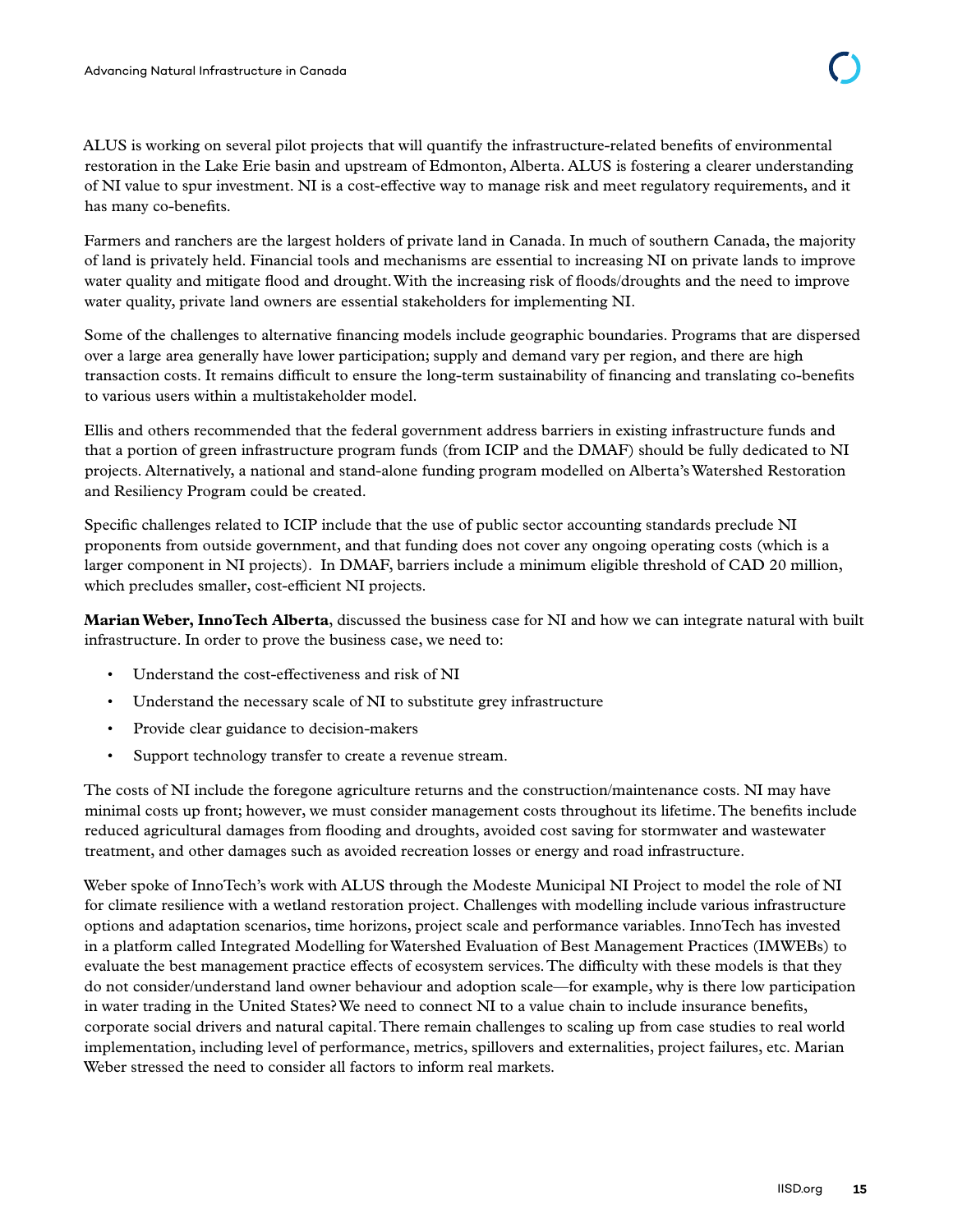ALUS is working on several pilot projects that will quantify the infrastructure-related benefits of environmental restoration in the Lake Erie basin and upstream of Edmonton, Alberta. ALUS is fostering a clearer understanding of NI value to spur investment. NI is a cost-effective way to manage risk and meet regulatory requirements, and it has many co-benefits.

Farmers and ranchers are the largest holders of private land in Canada. In much of southern Canada, the majority of land is privately held. Financial tools and mechanisms are essential to increasing NI on private lands to improve water quality and mitigate flood and drought. With the increasing risk of floods/droughts and the need to improve water quality, private land owners are essential stakeholders for implementing NI.

Some of the challenges to alternative financing models include geographic boundaries. Programs that are dispersed over a large area generally have lower participation; supply and demand vary per region, and there are high transaction costs. It remains difficult to ensure the long-term sustainability of financing and translating co-benefits to various users within a multistakeholder model.

Ellis and others recommended that the federal government address barriers in existing infrastructure funds and that a portion of green infrastructure program funds (from ICIP and the DMAF) should be fully dedicated to NI projects. Alternatively, a national and stand-alone funding program modelled on Alberta's Watershed Restoration and Resiliency Program could be created.

Specific challenges related to ICIP include that the use of public sector accounting standards preclude NI proponents from outside government, and that funding does not cover any ongoing operating costs (which is a larger component in NI projects). In DMAF, barriers include a minimum eligible threshold of CAD 20 million, which precludes smaller, cost-efficient NI projects.

**Marian Weber, InnoTech Alberta**, discussed the business case for NI and how we can integrate natural with built infrastructure. In order to prove the business case, we need to:

- Understand the cost-effectiveness and risk of NI
- Understand the necessary scale of NI to substitute grey infrastructure
- Provide clear guidance to decision-makers
- Support technology transfer to create a revenue stream.

The costs of NI include the foregone agriculture returns and the construction/maintenance costs. NI may have minimal costs up front; however, we must consider management costs throughout its lifetime. The benefits include reduced agricultural damages from flooding and droughts, avoided cost saving for stormwater and wastewater treatment, and other damages such as avoided recreation losses or energy and road infrastructure.

Weber spoke of InnoTech's work with ALUS through the Modeste Municipal NI Project to model the role of NI for climate resilience with a wetland restoration project. Challenges with modelling include various infrastructure options and adaptation scenarios, time horizons, project scale and performance variables. InnoTech has invested in a platform called Integrated Modelling for Watershed Evaluation of Best Management Practices (IMWEBs) to evaluate the best management practice effects of ecosystem services. The difficulty with these models is that they do not consider/understand land owner behaviour and adoption scale—for example, why is there low participation in water trading in the United States? We need to connect NI to a value chain to include insurance benefits, corporate social drivers and natural capital. There remain challenges to scaling up from case studies to real world implementation, including level of performance, metrics, spillovers and externalities, project failures, etc. Marian Weber stressed the need to consider all factors to inform real markets.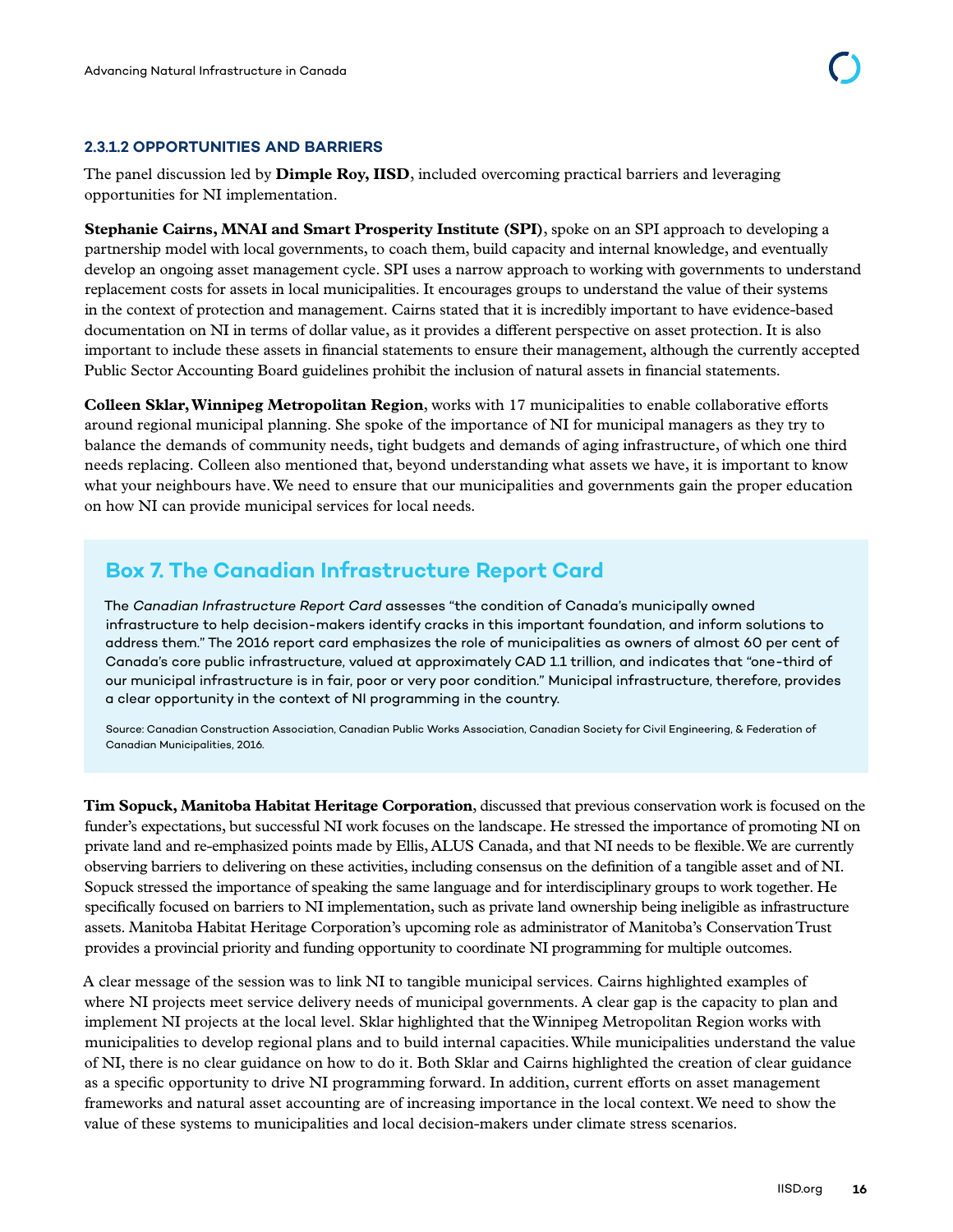#### <span id="page-22-0"></span>**2.3.1.2 OPPORTUNITIES AND BARRIERS**

The panel discussion led by **Dimple Roy, IISD**, included overcoming practical barriers and leveraging opportunities for NI implementation.

**Stephanie Cairns, MNAI and Smart Prosperity Institute (SPI)**, spoke on an SPI approach to developing a partnership model with local governments, to coach them, build capacity and internal knowledge, and eventually develop an ongoing asset management cycle. SPI uses a narrow approach to working with governments to understand replacement costs for assets in local municipalities. It encourages groups to understand the value of their systems in the context of protection and management. Cairns stated that it is incredibly important to have evidence-based documentation on NI in terms of dollar value, as it provides a different perspective on asset protection. It is also important to include these assets in financial statements to ensure their management, although the currently accepted Public Sector Accounting Board guidelines prohibit the inclusion of natural assets in financial statements.

**Colleen Sklar, Winnipeg Metropolitan Region**, works with 17 municipalities to enable collaborative efforts around regional municipal planning. She spoke of the importance of NI for municipal managers as they try to balance the demands of community needs, tight budgets and demands of aging infrastructure, of which one third needs replacing. Colleen also mentioned that, beyond understanding what assets we have, it is important to know what your neighbours have. We need to ensure that our municipalities and governments gain the proper education on how NI can provide municipal services for local needs.

### **Box 7. The Canadian Infrastructure Report Card**

The *Canadian Infrastructure Report Card* assesses "the condition of Canada's municipally owned infrastructure to help decision-makers identify cracks in this important foundation, and inform solutions to address them." The 2016 report card emphasizes the role of municipalities as owners of almost 60 per cent of Canada's core public infrastructure, valued at approximately CAD 1.1 trillion, and indicates that "one-third of our municipal infrastructure is in fair, poor or very poor condition." Municipal infrastructure, therefore, provides a clear opportunity in the context of NI programming in the country.

Source: Canadian Construction Association, Canadian Public Works Association, Canadian Society for Civil Engineering, & Federation of Canadian Municipalities, 2016.

**Tim Sopuck, Manitoba Habitat Heritage Corporation**, discussed that previous conservation work is focused on the funder's expectations, but successful NI work focuses on the landscape. He stressed the importance of promoting NI on private land and re-emphasized points made by Ellis, ALUS Canada, and that NI needs to be flexible. We are currently observing barriers to delivering on these activities, including consensus on the definition of a tangible asset and of NI. Sopuck stressed the importance of speaking the same language and for interdisciplinary groups to work together. He specifically focused on barriers to NI implementation, such as private land ownership being ineligible as infrastructure assets. Manitoba Habitat Heritage Corporation's upcoming role as administrator of Manitoba's Conservation Trust provides a provincial priority and funding opportunity to coordinate NI programming for multiple outcomes.

A clear message of the session was to link NI to tangible municipal services. Cairns highlighted examples of where NI projects meet service delivery needs of municipal governments. A clear gap is the capacity to plan and implement NI projects at the local level. Sklar highlighted that the Winnipeg Metropolitan Region works with municipalities to develop regional plans and to build internal capacities. While municipalities understand the value of NI, there is no clear guidance on how to do it. Both Sklar and Cairns highlighted the creation of clear guidance as a specific opportunity to drive NI programming forward. In addition, current efforts on asset management frameworks and natural asset accounting are of increasing importance in the local context. We need to show the value of these systems to municipalities and local decision-makers under climate stress scenarios.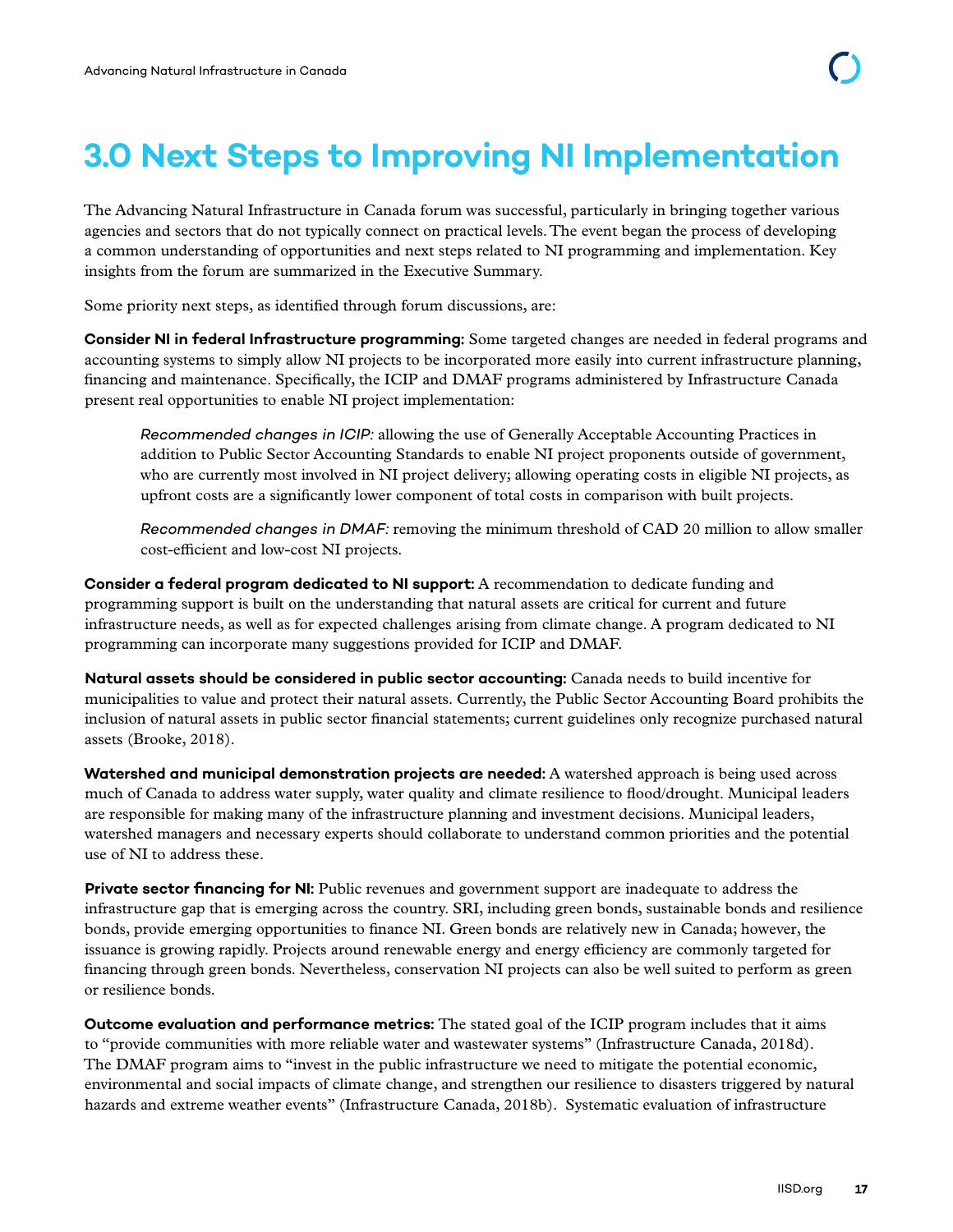# <span id="page-23-0"></span>**3.0 Next Steps to Improving NI Implementation**

The Advancing Natural Infrastructure in Canada forum was successful, particularly in bringing together various agencies and sectors that do not typically connect on practical levels. The event began the process of developing a common understanding of opportunities and next steps related to NI programming and implementation. Key insights from the forum are summarized in the Executive Summary.

Some priority next steps, as identified through forum discussions, are:

**Consider NI in federal Infrastructure programming:** Some targeted changes are needed in federal programs and accounting systems to simply allow NI projects to be incorporated more easily into current infrastructure planning, financing and maintenance. Specifically, the ICIP and DMAF programs administered by Infrastructure Canada present real opportunities to enable NI project implementation:

*Recommended changes in ICIP:* allowing the use of Generally Acceptable Accounting Practices in addition to Public Sector Accounting Standards to enable NI project proponents outside of government, who are currently most involved in NI project delivery; allowing operating costs in eligible NI projects, as upfront costs are a significantly lower component of total costs in comparison with built projects.

*Recommended changes in DMAF:* removing the minimum threshold of CAD 20 million to allow smaller cost-efficient and low-cost NI projects.

**Consider a federal program dedicated to NI support:** A recommendation to dedicate funding and programming support is built on the understanding that natural assets are critical for current and future infrastructure needs, as well as for expected challenges arising from climate change. A program dedicated to NI programming can incorporate many suggestions provided for ICIP and DMAF.

**Natural assets should be considered in public sector accounting:** Canada needs to build incentive for municipalities to value and protect their natural assets. Currently, the Public Sector Accounting Board prohibits the inclusion of natural assets in public sector financial statements; current guidelines only recognize purchased natural assets (Brooke, 2018).

**Watershed and municipal demonstration projects are needed:** A watershed approach is being used across much of Canada to address water supply, water quality and climate resilience to flood/drought. Municipal leaders are responsible for making many of the infrastructure planning and investment decisions. Municipal leaders, watershed managers and necessary experts should collaborate to understand common priorities and the potential use of NI to address these.

**Private sector financing for NI:** Public revenues and government support are inadequate to address the infrastructure gap that is emerging across the country. SRI, including green bonds, sustainable bonds and resilience bonds, provide emerging opportunities to finance NI. Green bonds are relatively new in Canada; however, the issuance is growing rapidly. Projects around renewable energy and energy efficiency are commonly targeted for financing through green bonds. Nevertheless, conservation NI projects can also be well suited to perform as green or resilience bonds.

**Outcome evaluation and performance metrics:** The stated goal of the ICIP program includes that it aims to "provide communities with more reliable water and wastewater systems" (Infrastructure Canada, 2018d). The DMAF program aims to "invest in the public infrastructure we need to mitigate the potential economic, environmental and social impacts of climate change, and strengthen our resilience to disasters triggered by natural hazards and extreme weather events" (Infrastructure Canada, 2018b). Systematic evaluation of infrastructure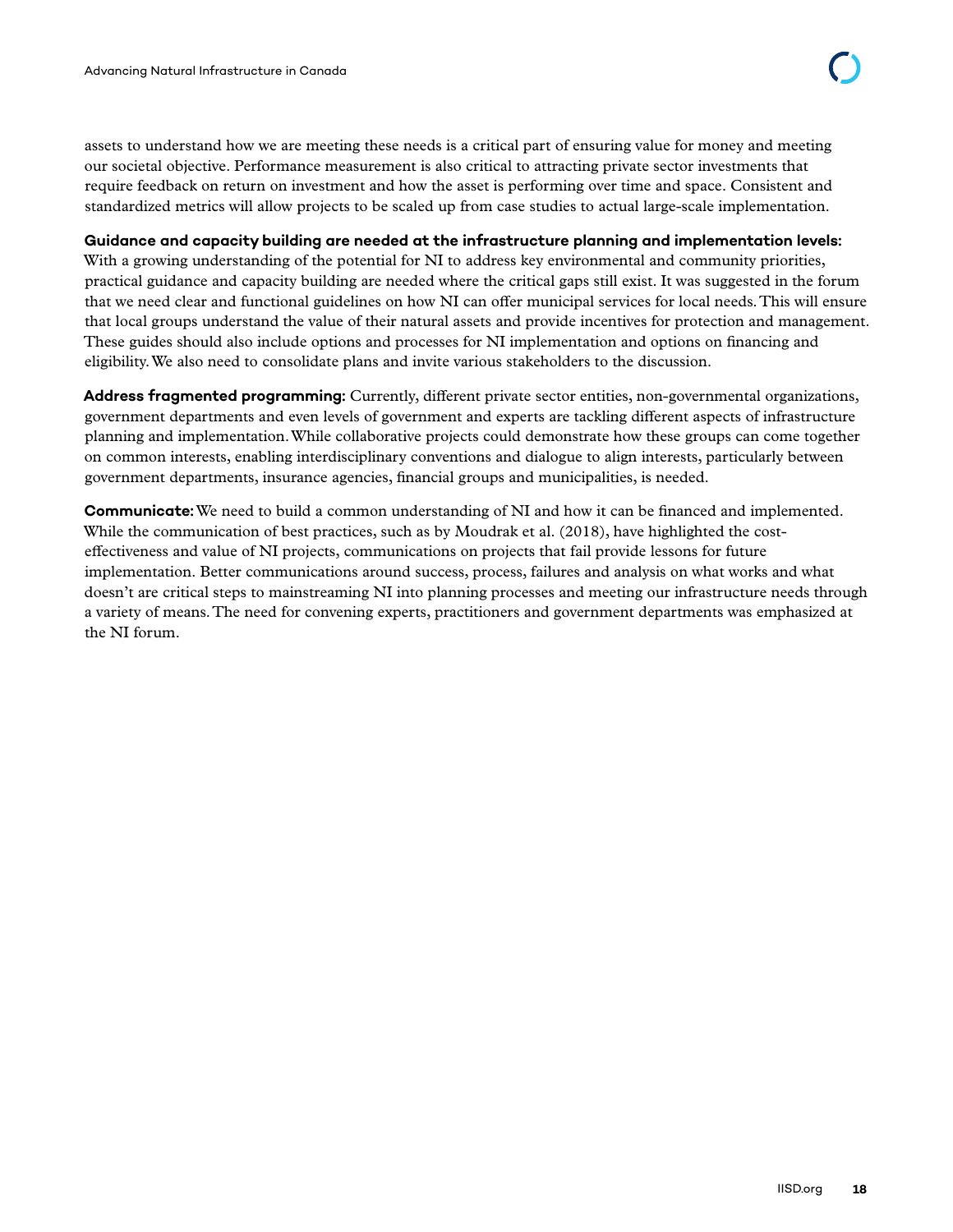assets to understand how we are meeting these needs is a critical part of ensuring value for money and meeting our societal objective. Performance measurement is also critical to attracting private sector investments that require feedback on return on investment and how the asset is performing over time and space. Consistent and standardized metrics will allow projects to be scaled up from case studies to actual large-scale implementation.

#### **Guidance and capacity building are needed at the infrastructure planning and implementation levels:**

With a growing understanding of the potential for NI to address key environmental and community priorities, practical guidance and capacity building are needed where the critical gaps still exist. It was suggested in the forum that we need clear and functional guidelines on how NI can offer municipal services for local needs. This will ensure that local groups understand the value of their natural assets and provide incentives for protection and management. These guides should also include options and processes for NI implementation and options on financing and eligibility. We also need to consolidate plans and invite various stakeholders to the discussion.

**Address fragmented programming:** Currently, different private sector entities, non-governmental organizations, government departments and even levels of government and experts are tackling different aspects of infrastructure planning and implementation. While collaborative projects could demonstrate how these groups can come together on common interests, enabling interdisciplinary conventions and dialogue to align interests, particularly between government departments, insurance agencies, financial groups and municipalities, is needed.

**Communicate:** We need to build a common understanding of NI and how it can be financed and implemented. While the communication of best practices, such as by Moudrak et al. (2018), have highlighted the costeffectiveness and value of NI projects, communications on projects that fail provide lessons for future implementation. Better communications around success, process, failures and analysis on what works and what doesn't are critical steps to mainstreaming NI into planning processes and meeting our infrastructure needs through a variety of means. The need for convening experts, practitioners and government departments was emphasized at the NI forum.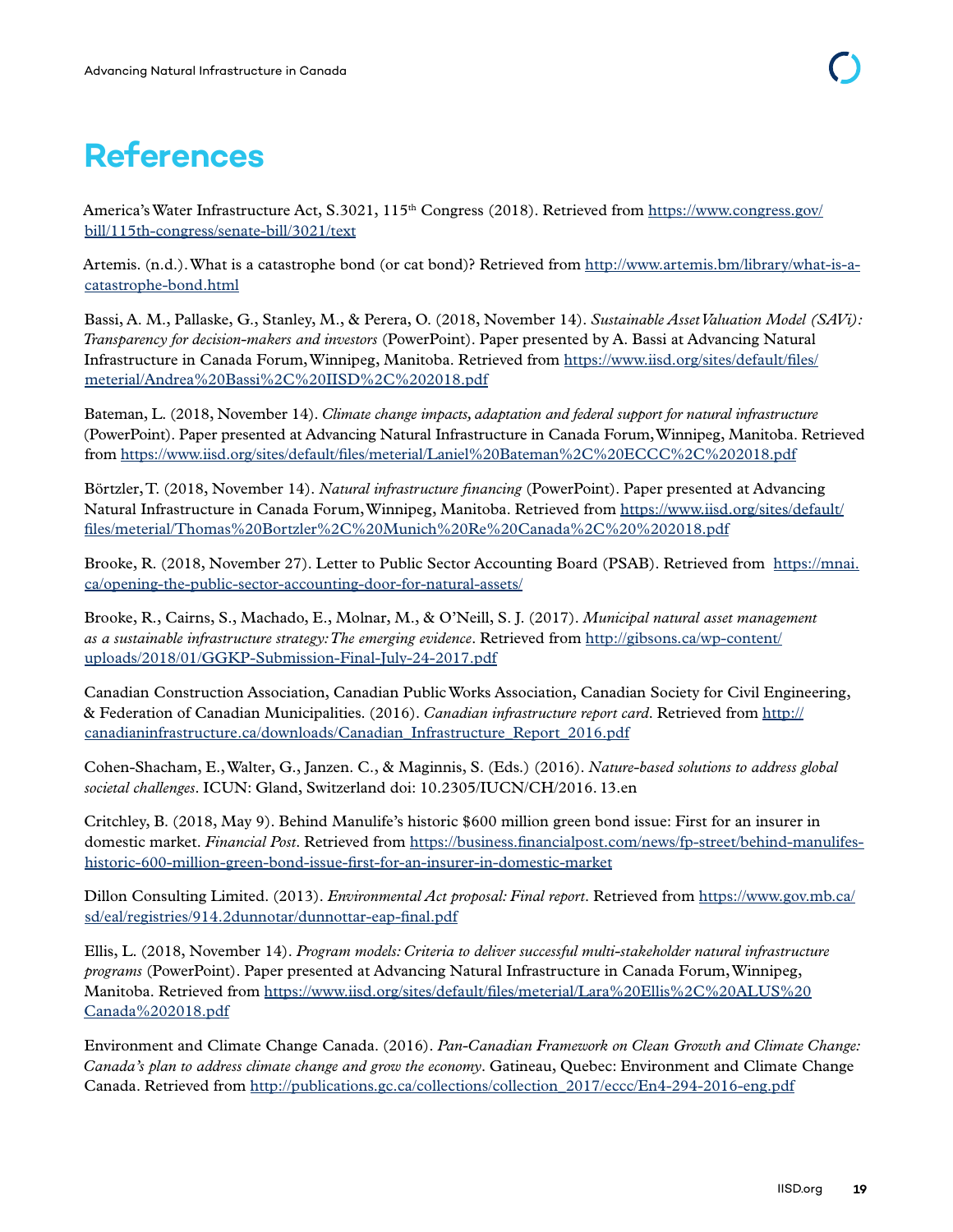# <span id="page-25-0"></span>**References**

America's Water Infrastructure Act, S.3021, 115<sup>th</sup> Congress (2018). Retrieved from [https://www.congress.gov/](https://www.congress.gov/bill/115th-congress/senate-bill/3021/text) [bill/115th-congress/senate-bill/3021/text](https://www.congress.gov/bill/115th-congress/senate-bill/3021/text)

Artemis. (n.d.). What is a catastrophe bond (or cat bond)? Retrieved from [http://www.artemis.bm/library/what-is-a](http://www.artemis.bm/library/what-is-a-catastrophe-bond.html)[catastrophe-bond.html](http://www.artemis.bm/library/what-is-a-catastrophe-bond.html)

Bassi, A. M., Pallaske, G., Stanley, M., & Perera, O. (2018, November 14). *Sustainable Asset Valuation Model (SAVi): Transparency for decision-makers and investors* (PowerPoint). Paper presented by A. Bassi at Advancing Natural Infrastructure in Canada Forum, Winnipeg, Manitoba. Retrieved from [https://www.iisd.org/sites/default/files/](https://www.iisd.org/sites/default/files/meterial/Andrea%20Bassi%2C%20IISD%2C%202018.pdf) [meterial/Andrea%20Bassi%2C%20IISD%2C%202018.pdf](https://www.iisd.org/sites/default/files/meterial/Andrea%20Bassi%2C%20IISD%2C%202018.pdf)

Bateman, L. (2018, November 14). *Climate change impacts, adaptation and federal support for natural infrastructure* (PowerPoint). Paper presented at Advancing Natural Infrastructure in Canada Forum, Winnipeg, Manitoba. Retrieved from <https://www.iisd.org/sites/default/files/meterial/Laniel%20Bateman%2C%20ECCC%2C%202018.pdf>

Börtzler, T. (2018, November 14). *Natural infrastructure financing* (PowerPoint). Paper presented at Advancing Natural Infrastructure in Canada Forum, Winnipeg, Manitoba. Retrieved from [https://www.iisd.org/sites/default/](https://www.iisd.org/sites/default/files/meterial/Thomas%20Bortzler%2C%20Munich%20Re%20Canada%2C%20%202018.pdf) [files/meterial/Thomas%20Bortzler%2C%20Munich%20Re%20Canada%2C%20%202018.pdf](https://www.iisd.org/sites/default/files/meterial/Thomas%20Bortzler%2C%20Munich%20Re%20Canada%2C%20%202018.pdf)

Brooke, R. (2018, November 27). Letter to Public Sector Accounting Board (PSAB). Retrieved from [https://mnai.](https://mnai.ca/opening-the-public-sector-accounting-door-for-natural-assets/) [ca/opening-the-public-sector-accounting-door-for-natural-assets/](https://mnai.ca/opening-the-public-sector-accounting-door-for-natural-assets/)

Brooke, R., Cairns, S., Machado, E., Molnar, M., & O'Neill, S. J. (2017). *Municipal natural asset management as a sustainable infrastructure strategy: The emerging evidence*. Retrieved from [http://gibsons.ca/wp-content/](http://gibsons.ca/wp-content/uploads/2018/01/GGKP-Submission-Final-July-24-2017.pdf) [uploads/2018/01/GGKP-Submission-Final-July-24-2017.pdf](http://gibsons.ca/wp-content/uploads/2018/01/GGKP-Submission-Final-July-24-2017.pdf)

Canadian Construction Association, Canadian Public Works Association, Canadian Society for Civil Engineering, & Federation of Canadian Municipalities. (2016). *Canadian infrastructure report card*. Retrieved from [http://](http://canadianinfrastructure.ca/downloads/Canadian_Infrastructure_Report_2016.pdf) [canadianinfrastructure.ca/downloads/Canadian\\_Infrastructure\\_Report\\_2016.pdf](http://canadianinfrastructure.ca/downloads/Canadian_Infrastructure_Report_2016.pdf)

Cohen-Shacham, E., Walter, G., Janzen. C., & Maginnis, S. (Eds.) (2016). *Nature-based solutions to address global societal challenges*. ICUN: Gland, Switzerland doi: 10.2305/IUCN/CH/2016. 13.en

Critchley, B. (2018, May 9). Behind Manulife's historic \$600 million green bond issue: First for an insurer in domestic market. *Financial Post*. Retrieved from [https://business.financialpost.com/news/fp-street/behind-manulifes](https://business.financialpost.com/news/fp-street/behind-manulifes-historic-600-million-green-bond-issue-first-for-an-insurer-in-domestic-market)[historic-600-million-green-bond-issue-first-for-an-insurer-in-domestic-market](https://business.financialpost.com/news/fp-street/behind-manulifes-historic-600-million-green-bond-issue-first-for-an-insurer-in-domestic-market)

Dillon Consulting Limited. (2013). *Environmental Act proposal: Final report*. Retrieved from [https://www.gov.mb.ca/](https://www.gov.mb.ca/sd/eal/registries/914.2dunnotar/dunnottar-eap-final.pdf) [sd/eal/registries/914.2dunnotar/dunnottar-eap-final.pdf](https://www.gov.mb.ca/sd/eal/registries/914.2dunnotar/dunnottar-eap-final.pdf)

Ellis, L. (2018, November 14). *Program models: Criteria to deliver successful multi-stakeholder natural infrastructure programs* (PowerPoint). Paper presented at Advancing Natural Infrastructure in Canada Forum, Winnipeg, Manitoba. Retrieved from [https://www.iisd.org/sites/default/files/meterial/Lara%20Ellis%2C%20ALUS%20](https://www.iisd.org/sites/default/files/meterial/Lara%20Ellis%2C%20ALUS%20Canada%202018.pdf) [Canada%202018.pdf](https://www.iisd.org/sites/default/files/meterial/Lara%20Ellis%2C%20ALUS%20Canada%202018.pdf)

Environment and Climate Change Canada. (2016). *Pan-Canadian Framework on Clean Growth and Climate Change: Canada's plan to address climate change and grow the economy*. Gatineau, Quebec: Environment and Climate Change Canada. Retrieved from http://publications.gc.ca/collections/collection 2017/eccc/En4-294-2016-eng.pdf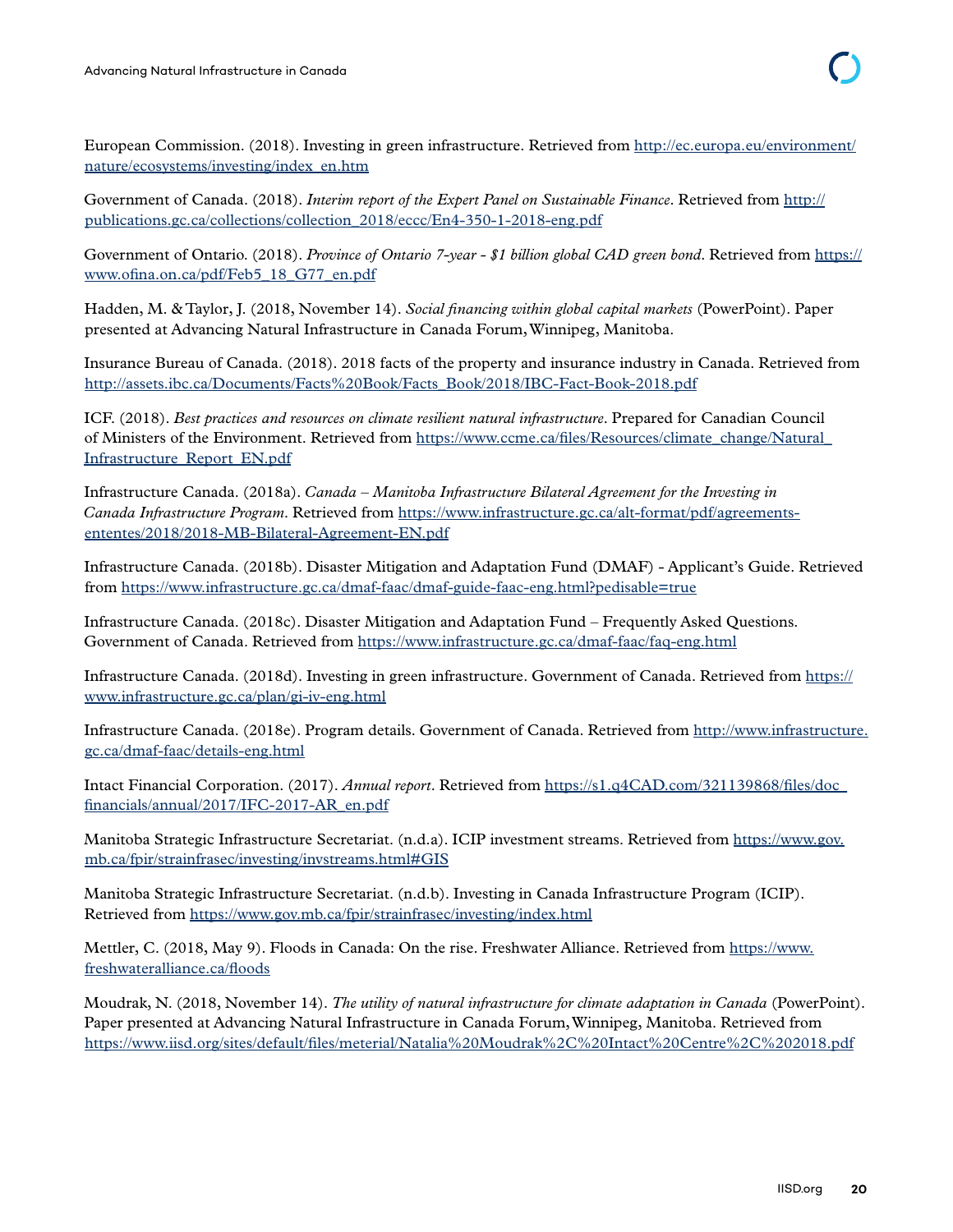European Commission. (2018). Investing in green infrastructure. Retrieved from [http://ec.europa.eu/environment/](http://ec.europa.eu/environment/nature/ecosystems/investing/index_en.htm) [nature/ecosystems/investing/index\\_en.htm](http://ec.europa.eu/environment/nature/ecosystems/investing/index_en.htm)

Government of Canada. (2018). *Interim report of the Expert Panel on Sustainable Finance*. Retrieved from [http://](http://publications.gc.ca/collections/collection_2018/eccc/En4-350-1-2018-eng.pdf) [publications.gc.ca/collections/collection\\_2018/eccc/En4-350-1-2018-eng.pdf](http://publications.gc.ca/collections/collection_2018/eccc/En4-350-1-2018-eng.pdf)

Government of Ontario. (2018). *Province of Ontario 7-year - \$1 billion global CAD green bond*. Retrieved from [https://](https://www.ofina.on.ca/pdf/Feb5_18_G77_en.pdf) [www.ofina.on.ca/pdf/Feb5\\_18\\_G77\\_en.pdf](https://www.ofina.on.ca/pdf/Feb5_18_G77_en.pdf)

Hadden, M. & Taylor, J. (2018, November 14). *Social financing within global capital markets* (PowerPoint). Paper presented at Advancing Natural Infrastructure in Canada Forum, Winnipeg, Manitoba.

Insurance Bureau of Canada. (2018). 2018 facts of the property and insurance industry in Canada. Retrieved from [http://assets.ibc.ca/Documents/Facts%20Book/Facts\\_Book/2018/IBC-Fact-Book-2018.pdf](http://assets.ibc.ca/Documents/Facts%20Book/Facts_Book/2018/IBC-Fact-Book-2018.pdf) 

ICF. (2018). *Best practices and resources on climate resilient natural infrastructure*. Prepared for Canadian Council of Ministers of the Environment. Retrieved from [https://www.ccme.ca/files/Resources/climate\\_change/Natural\\_](https://www.ccme.ca/files/Resources/climate_change/Natural_Infrastructure_Report_EN.pdf) [Infrastructure\\_Report\\_EN.pdf](https://www.ccme.ca/files/Resources/climate_change/Natural_Infrastructure_Report_EN.pdf)

Infrastructure Canada. (2018a). *Canada – Manitoba Infrastructure Bilateral Agreement for the Investing in Canada Infrastructure Program*. Retrieved from [https://www.infrastructure.gc.ca/alt-format/pdf/agreements](https://www.infrastructure.gc.ca/alt-format/pdf/agreements-ententes/2018/2018-MB-Bilateral-Agreement-EN.pdf)[ententes/2018/2018-MB-Bilateral-Agreement-EN.pdf](https://www.infrastructure.gc.ca/alt-format/pdf/agreements-ententes/2018/2018-MB-Bilateral-Agreement-EN.pdf)

Infrastructure Canada. (2018b). Disaster Mitigation and Adaptation Fund (DMAF) - Applicant's Guide. Retrieved from<https://www.infrastructure.gc.ca/dmaf-faac/dmaf-guide-faac-eng.html?pedisable=true>

Infrastructure Canada. (2018c). Disaster Mitigation and Adaptation Fund – Frequently Asked Questions. Government of Canada. Retrieved from<https://www.infrastructure.gc.ca/dmaf-faac/faq-eng.html>

Infrastructure Canada. (2018d). Investing in green infrastructure. Government of Canada. Retrieved from [https://](https://www.infrastructure.gc.ca/plan/gi-iv-eng.html) [www.infrastructure.gc.ca/plan/gi-iv-eng.html](https://www.infrastructure.gc.ca/plan/gi-iv-eng.html)

Infrastructure Canada. (2018e). Program details. Government of Canada. Retrieved from [http://www.infrastructure.](http://www.infrastructure.gc.ca/dmaf-faac/details-eng.html) [gc.ca/dmaf-faac/details-eng.html](http://www.infrastructure.gc.ca/dmaf-faac/details-eng.html)

Intact Financial Corporation. (2017). *Annual report*. Retrieved from [https://s1.q4CAD.com/321139868/files/doc\\_](https://s1.q4CAD.com/321139868/files/doc_financials/annual/2017/IFC-2017-AR_en.pdf) [financials/annual/2017/IFC-2017-AR\\_en.pdf](https://s1.q4CAD.com/321139868/files/doc_financials/annual/2017/IFC-2017-AR_en.pdf)

Manitoba Strategic Infrastructure Secretariat. (n.d.a). ICIP investment streams. Retrieved from [https://www.gov.](https://www.gov.mb.ca/fpir/strainfrasec/investing/invstreams.html#GIS) [mb.ca/fpir/strainfrasec/investing/invstreams.html#GIS](https://www.gov.mb.ca/fpir/strainfrasec/investing/invstreams.html#GIS)

Manitoba Strategic Infrastructure Secretariat. (n.d.b). Investing in Canada Infrastructure Program (ICIP). Retrieved from<https://www.gov.mb.ca/fpir/strainfrasec/investing/index.html>

Mettler, C. (2018, May 9). Floods in Canada: On the rise. Freshwater Alliance. Retrieved from [https://www.](https://www.freshwateralliance.ca/floods) [freshwateralliance.ca/floods](https://www.freshwateralliance.ca/floods)

Moudrak, N. (2018, November 14). *The utility of natural infrastructure for climate adaptation in Canada* (PowerPoint). Paper presented at Advancing Natural Infrastructure in Canada Forum, Winnipeg, Manitoba. Retrieved from <https://www.iisd.org/sites/default/files/meterial/Natalia%20Moudrak%2C%20Intact%20Centre%2C%202018.pdf>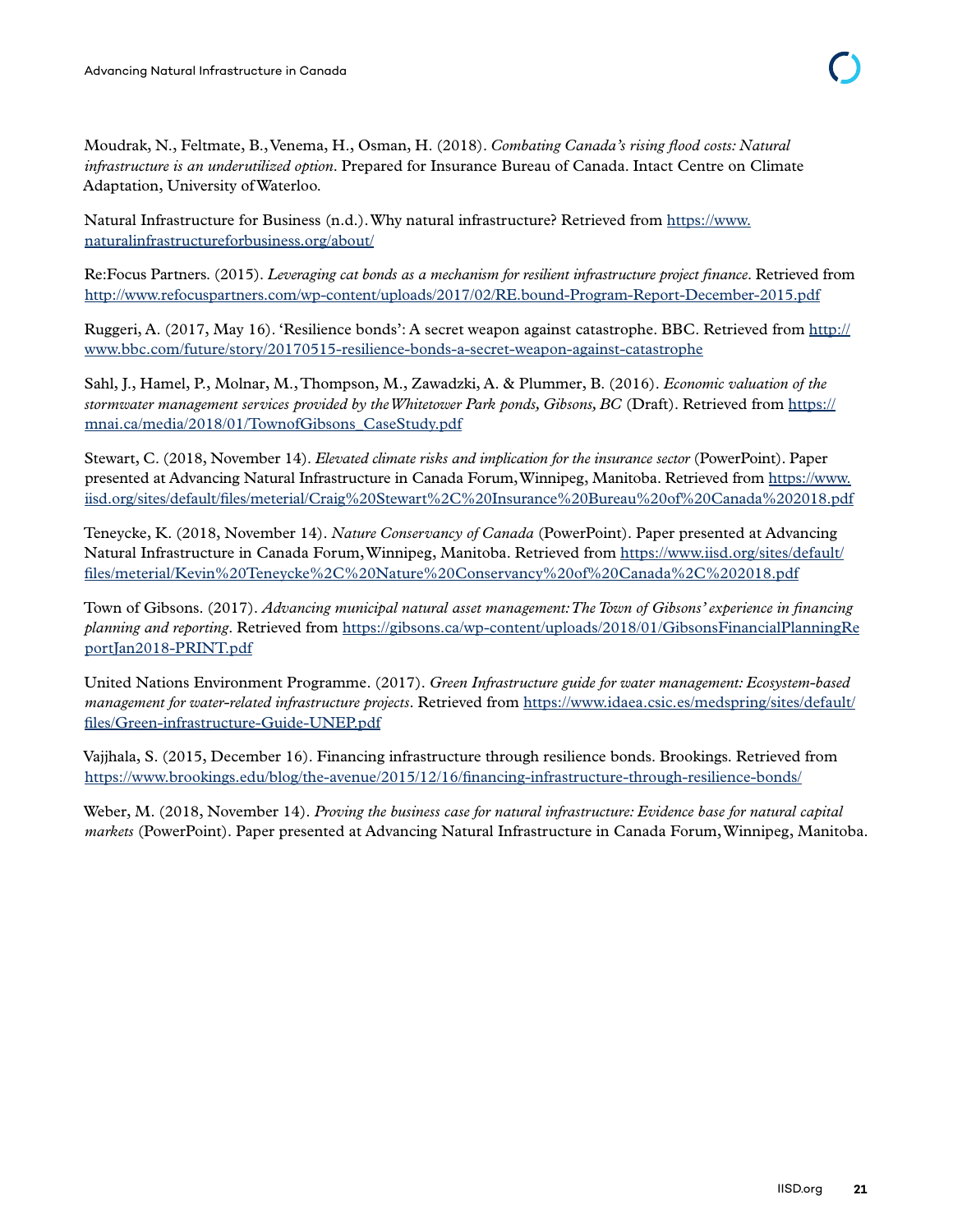Moudrak, N., Feltmate, B., Venema, H., Osman, H. (2018). *Combating Canada's rising flood costs: Natural infrastructure is an underutilized option*. Prepared for Insurance Bureau of Canada. Intact Centre on Climate Adaptation, University of Waterloo.

Natural Infrastructure for Business (n.d.). Why natural infrastructure? Retrieved from [https://www.](https://www.naturalinfrastructureforbusiness.org/about/) [naturalinfrastructureforbusiness.org/about/](https://www.naturalinfrastructureforbusiness.org/about/)

Re:Focus Partners. (2015). *Leveraging cat bonds as a mechanism for resilient infrastructure project finance*. Retrieved from <http://www.refocuspartners.com/wp-content/uploads/2017/02/RE.bound-Program-Report-December-2015.pdf>

Ruggeri, A. (2017, May 16). 'Resilience bonds': A secret weapon against catastrophe. BBC. Retrieved from [http://](http://www.bbc.com/future/story/20170515-resilience-bonds-a-secret-weapon-against-catastrophe) [www.bbc.com/future/story/20170515-resilience-bonds-a-secret-weapon-against-catastrophe](http://www.bbc.com/future/story/20170515-resilience-bonds-a-secret-weapon-against-catastrophe)

Sahl, J., Hamel, P., Molnar, M., Thompson, M., Zawadzki, A. & Plummer, B. (2016). *Economic valuation of the stormwater management services provided by the Whitetower Park ponds, Gibsons, BC* (Draft). Retrieved from [https://](https://mnai.ca/media/2018/01/TownofGibsons_CaseStudy.pdf) [mnai.ca/media/2018/01/TownofGibsons\\_CaseStudy.pdf](https://mnai.ca/media/2018/01/TownofGibsons_CaseStudy.pdf)

Stewart, C. (2018, November 14). *Elevated climate risks and implication for the insurance sector* (PowerPoint). Paper presented at Advancing Natural Infrastructure in Canada Forum, Winnipeg, Manitoba. Retrieved from [https://www.](https://www.iisd.org/sites/default/files/meterial/Craig%20Stewart%2C%20Insurance%20Bureau%20of%20Canada%202018.pdf) [iisd.org/sites/default/files/meterial/Craig%20Stewart%2C%20Insurance%20Bureau%20of%20Canada%202018.pdf](https://www.iisd.org/sites/default/files/meterial/Craig%20Stewart%2C%20Insurance%20Bureau%20of%20Canada%202018.pdf)

Teneycke, K. (2018, November 14). *Nature Conservancy of Canada* (PowerPoint). Paper presented at Advancing Natural Infrastructure in Canada Forum, Winnipeg, Manitoba. Retrieved from [https://www.iisd.org/sites/default/](https://www.iisd.org/sites/default/files/meterial/Kevin%20Teneycke%2C%20Nature%20Conservancy%20of%20Canada%2C%202018.pdf) [files/meterial/Kevin%20Teneycke%2C%20Nature%20Conservancy%20of%20Canada%2C%202018.pdf](https://www.iisd.org/sites/default/files/meterial/Kevin%20Teneycke%2C%20Nature%20Conservancy%20of%20Canada%2C%202018.pdf)

Town of Gibsons. (2017). *Advancing municipal natural asset management: The Town of Gibsons' experience in financing planning and reporting*. Retrieved from [https://gibsons.ca/wp-content/uploads/2018/01/GibsonsFinancialPlanningRe](https://gibsons.ca/wp-content/uploads/2018/01/GibsonsFinancialPlanningReportJan2018-PRINT.pdf) [portJan2018-PRINT.pdf](https://gibsons.ca/wp-content/uploads/2018/01/GibsonsFinancialPlanningReportJan2018-PRINT.pdf)

United Nations Environment Programme. (2017). *Green Infrastructure guide for water management: Ecosystem-based management for water-related infrastructure projects*. Retrieved from [https://www.idaea.csic.es/medspring/sites/default/](https://www.idaea.csic.es/medspring/sites/default/files/Green-infrastructure-Guide-UNEP.pdf) [files/Green-infrastructure-Guide-UNEP.pdf](https://www.idaea.csic.es/medspring/sites/default/files/Green-infrastructure-Guide-UNEP.pdf)

Vajjhala, S. (2015, December 16). Financing infrastructure through resilience bonds. Brookings. Retrieved from <https://www.brookings.edu/blog/the-avenue/2015/12/16/financing-infrastructure-through-resilience-bonds/>

Weber, M. (2018, November 14). *Proving the business case for natural infrastructure: Evidence base for natural capital markets* (PowerPoint). Paper presented at Advancing Natural Infrastructure in Canada Forum, Winnipeg, Manitoba.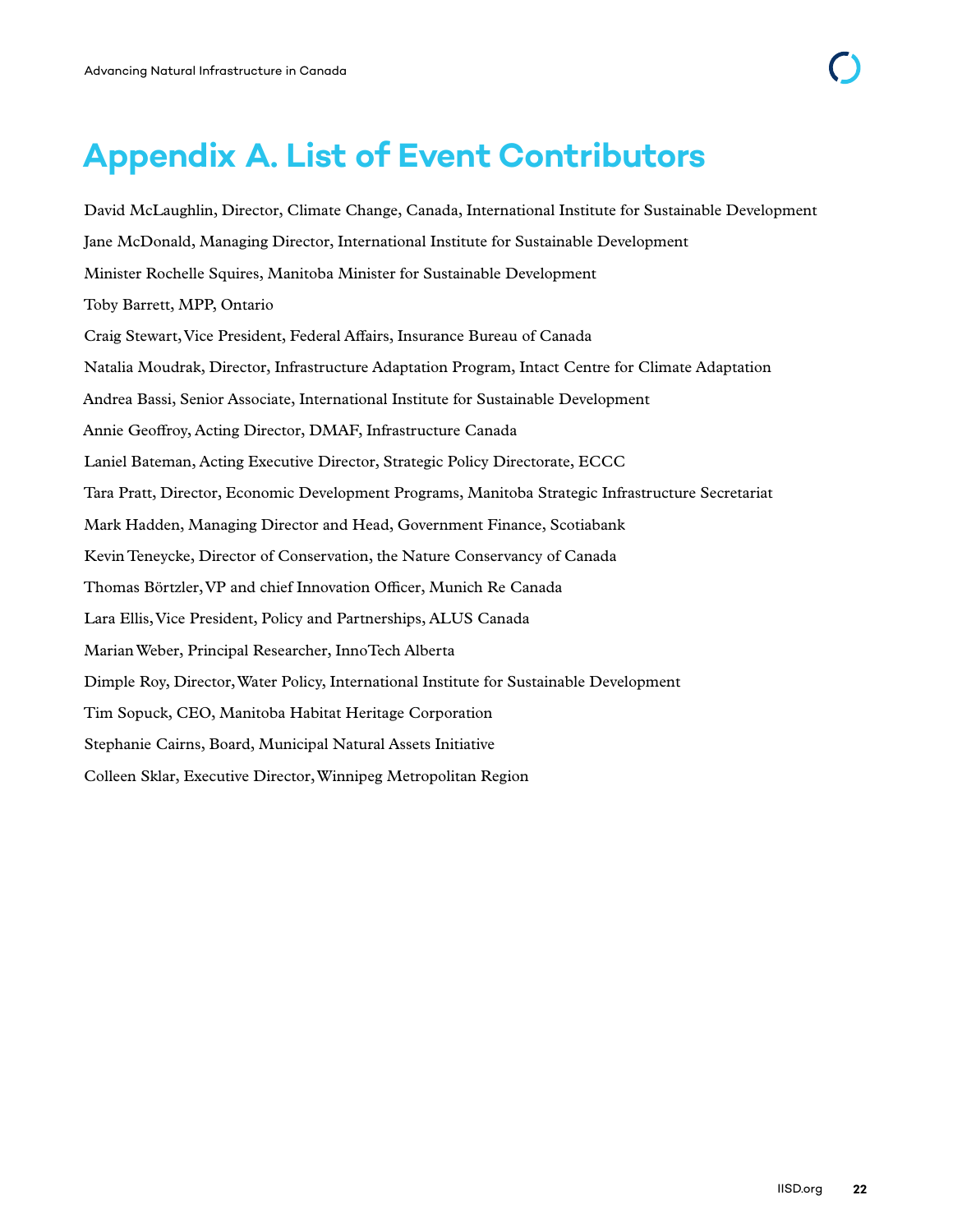# <span id="page-28-0"></span>**Appendix A. List of Event Contributors**

David McLaughlin, Director, Climate Change, Canada, International Institute for Sustainable Development Jane McDonald, Managing Director, International Institute for Sustainable Development Minister Rochelle Squires, Manitoba Minister for Sustainable Development Toby Barrett, MPP, Ontario Craig Stewart, Vice President, Federal Affairs, Insurance Bureau of Canada Natalia Moudrak, Director, Infrastructure Adaptation Program, Intact Centre for Climate Adaptation Andrea Bassi, Senior Associate, International Institute for Sustainable Development Annie Geoffroy, Acting Director, DMAF, Infrastructure Canada Laniel Bateman, Acting Executive Director, Strategic Policy Directorate, ECCC Tara Pratt, Director, Economic Development Programs, Manitoba Strategic Infrastructure Secretariat Mark Hadden, Managing Director and Head, Government Finance, Scotiabank Kevin Teneycke, Director of Conservation, the Nature Conservancy of Canada Thomas Börtzler, VP and chief Innovation Officer, Munich Re Canada Lara Ellis, Vice President, Policy and Partnerships, ALUS Canada Marian Weber, Principal Researcher, InnoTech Alberta Dimple Roy, Director, Water Policy, International Institute for Sustainable Development Tim Sopuck, CEO, Manitoba Habitat Heritage Corporation Stephanie Cairns, Board, Municipal Natural Assets Initiative Colleen Sklar, Executive Director, Winnipeg Metropolitan Region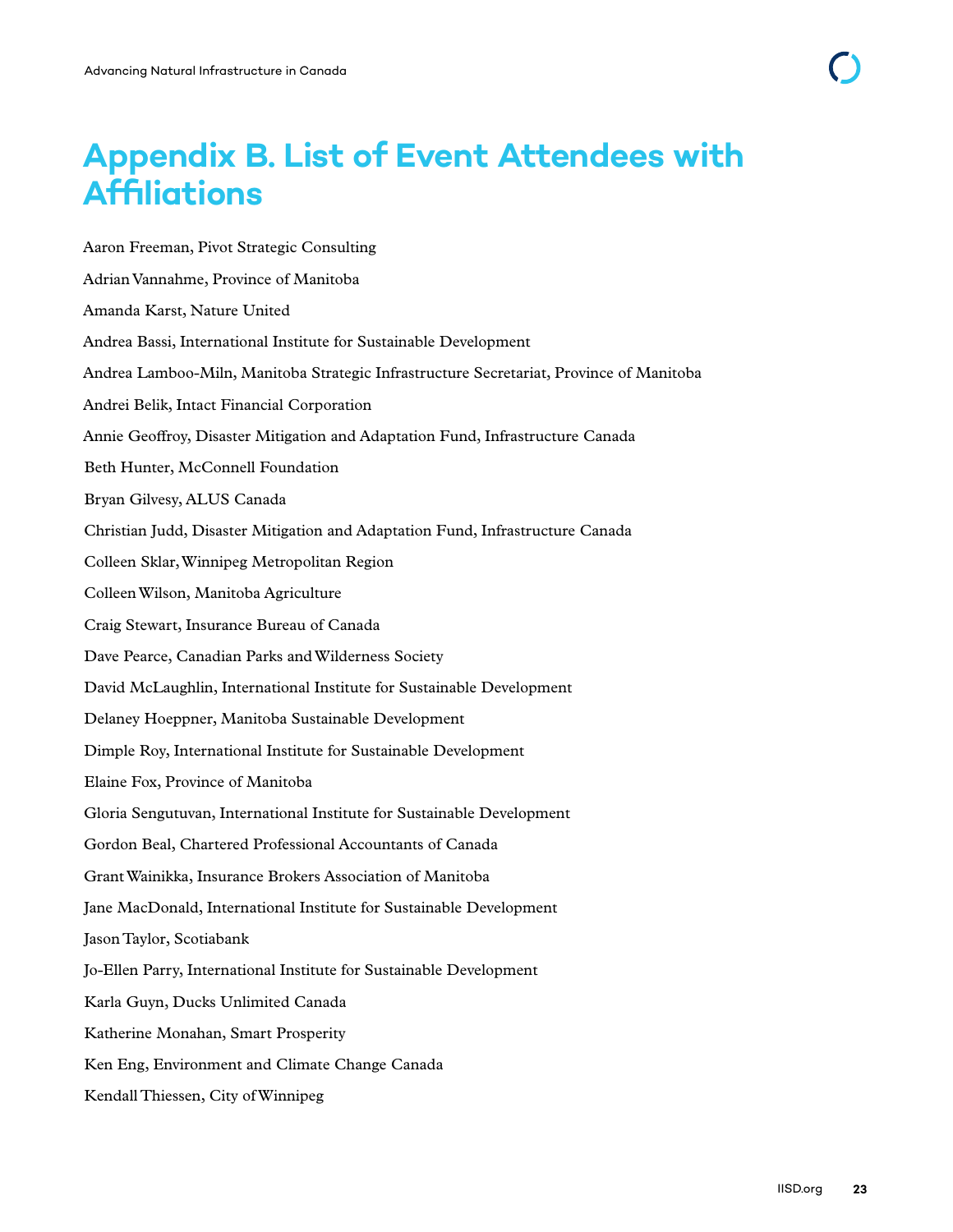# <span id="page-29-0"></span>**Appendix B. List of Event Attendees with Affiliations**

Aaron Freeman, Pivot Strategic Consulting Adrian Vannahme, Province of Manitoba Amanda Karst, Nature United Andrea Bassi, International Institute for Sustainable Development Andrea Lamboo-Miln, Manitoba Strategic Infrastructure Secretariat, Province of Manitoba Andrei Belik, Intact Financial Corporation Annie Geoffroy, Disaster Mitigation and Adaptation Fund, Infrastructure Canada Beth Hunter, McConnell Foundation Bryan Gilvesy, ALUS Canada Christian Judd, Disaster Mitigation and Adaptation Fund, Infrastructure Canada Colleen Sklar, Winnipeg Metropolitan Region Colleen Wilson, Manitoba Agriculture Craig Stewart, Insurance Bureau of Canada Dave Pearce, Canadian Parks and Wilderness Society David McLaughlin, International Institute for Sustainable Development Delaney Hoeppner, Manitoba Sustainable Development Dimple Roy, International Institute for Sustainable Development Elaine Fox, Province of Manitoba Gloria Sengutuvan, International Institute for Sustainable Development Gordon Beal, Chartered Professional Accountants of Canada Grant Wainikka, Insurance Brokers Association of Manitoba Jane MacDonald, International Institute for Sustainable Development Jason Taylor, Scotiabank Jo-Ellen Parry, International Institute for Sustainable Development Karla Guyn, Ducks Unlimited Canada Katherine Monahan, Smart Prosperity Ken Eng, Environment and Climate Change Canada Kendall Thiessen, City of Winnipeg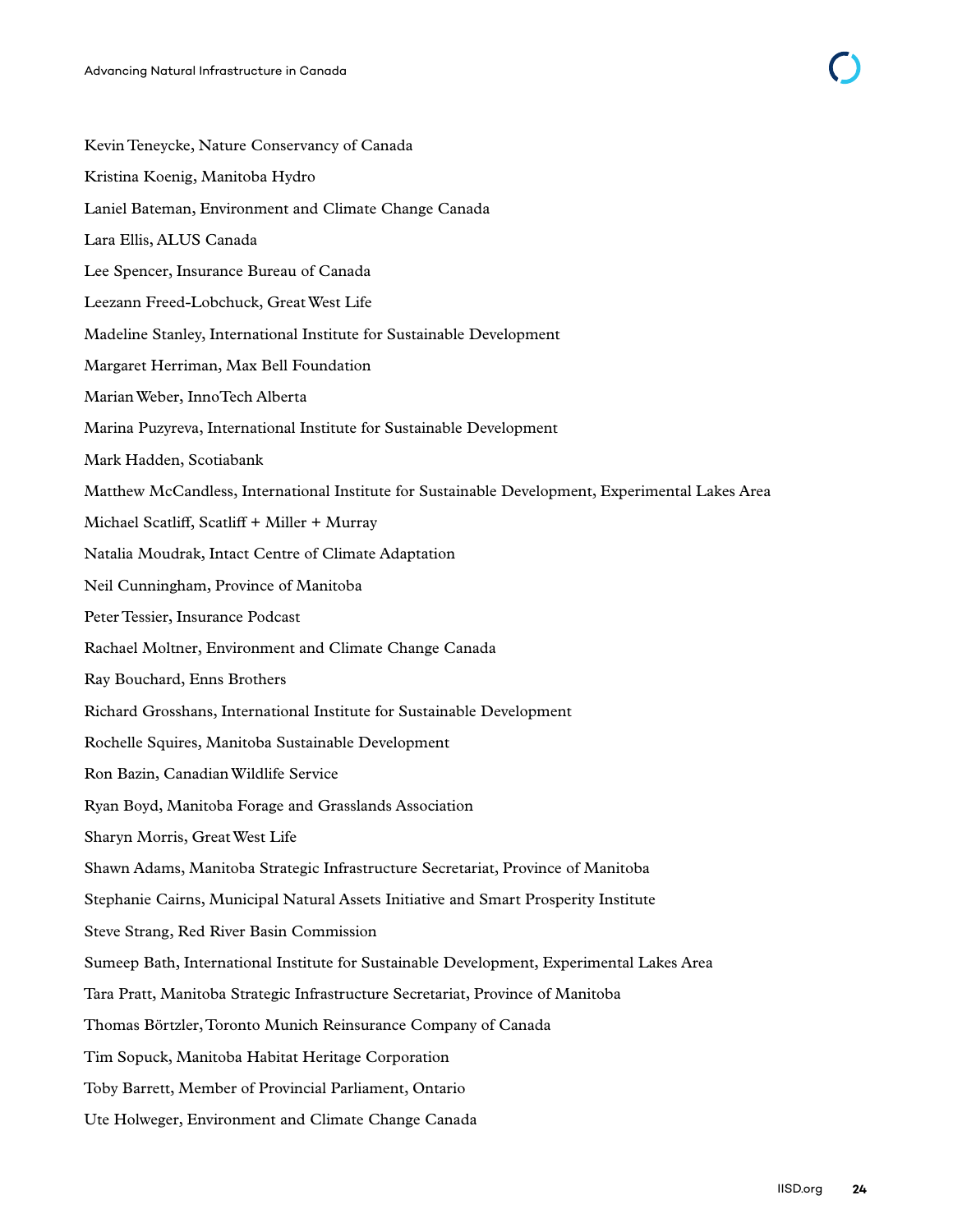| Kevin Teneycke, Nature Conservancy of Canada                                                     |
|--------------------------------------------------------------------------------------------------|
| Kristina Koenig, Manitoba Hydro                                                                  |
| Laniel Bateman, Environment and Climate Change Canada                                            |
| Lara Ellis, ALUS Canada                                                                          |
| Lee Spencer, Insurance Bureau of Canada                                                          |
| Leezann Freed-Lobchuck, Great West Life                                                          |
| Madeline Stanley, International Institute for Sustainable Development                            |
| Margaret Herriman, Max Bell Foundation                                                           |
| Marian Weber, InnoTech Alberta                                                                   |
| Marina Puzyreva, International Institute for Sustainable Development                             |
| Mark Hadden, Scotiabank                                                                          |
| Matthew McCandless, International Institute for Sustainable Development, Experimental Lakes Area |
| Michael Scatliff, Scatliff + Miller + Murray                                                     |
| Natalia Moudrak, Intact Centre of Climate Adaptation                                             |
| Neil Cunningham, Province of Manitoba                                                            |
| Peter Tessier, Insurance Podcast                                                                 |
| Rachael Moltner, Environment and Climate Change Canada                                           |
| Ray Bouchard, Enns Brothers                                                                      |
| Richard Grosshans, International Institute for Sustainable Development                           |
| Rochelle Squires, Manitoba Sustainable Development                                               |
| Ron Bazin, Canadian Wildlife Service                                                             |
| Ryan Boyd, Manitoba Forage and Grasslands Association                                            |
| Sharyn Morris, Great West Life                                                                   |
| Shawn Adams, Manitoba Strategic Infrastructure Secretariat, Province of Manitoba                 |
| Stephanie Cairns, Municipal Natural Assets Initiative and Smart Prosperity Institute             |
| Steve Strang, Red River Basin Commission                                                         |
| Sumeep Bath, International Institute for Sustainable Development, Experimental Lakes Area        |
| Tara Pratt, Manitoba Strategic Infrastructure Secretariat, Province of Manitoba                  |
| Thomas Börtzler, Toronto Munich Reinsurance Company of Canada                                    |
| Tim Sopuck, Manitoba Habitat Heritage Corporation                                                |
| Toby Barrett, Member of Provincial Parliament, Ontario                                           |
| Ute Holweger, Environment and Climate Change Canada                                              |